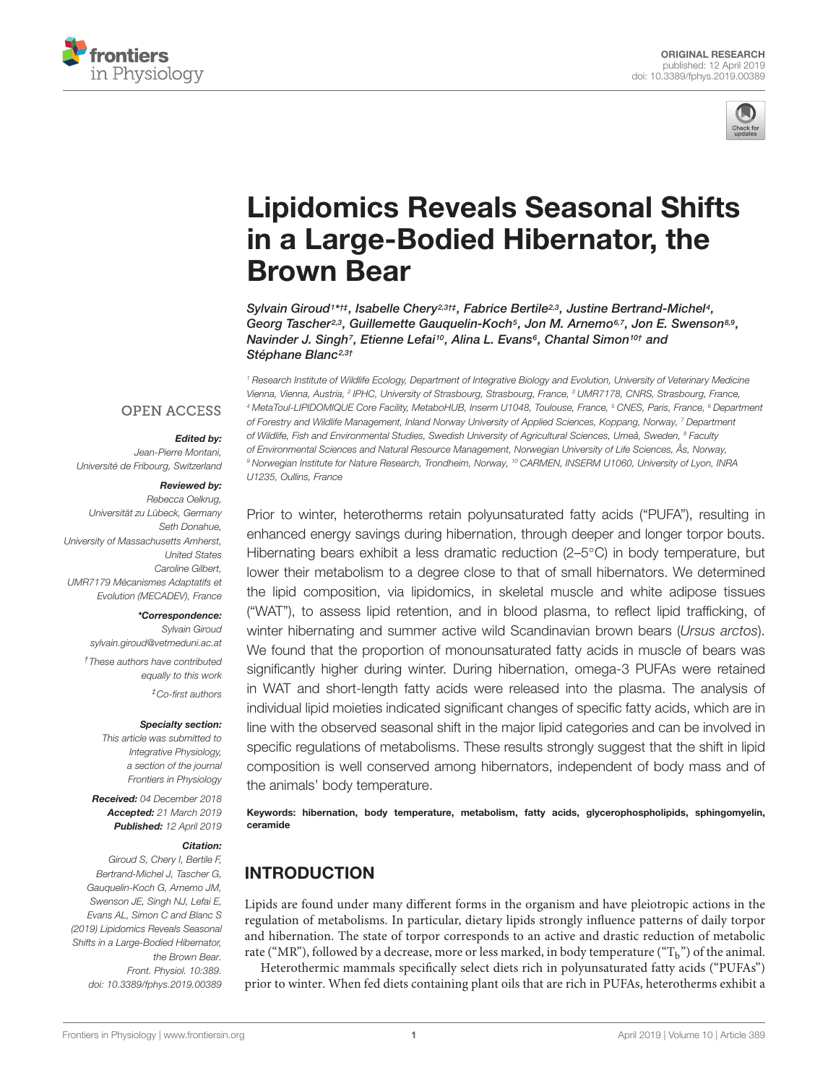



# [Lipidomics Reveals Seasonal Shifts](https://www.frontiersin.org/articles/10.3389/fphys.2019.00389/full) in a Large-Bodied Hibernator, the Brown Bear

[Sylvain Giroud](http://loop.frontiersin.org/people/455230/overview)<sup>1\*†‡</sup>, [Isabelle Chery](http://loop.frontiersin.org/people/684526/overview)<sup>2,3†‡</sup>, [Fabrice Bertile](http://loop.frontiersin.org/people/652979/overview)<sup>2,3</sup>, [Justine Bertrand-Michel](http://loop.frontiersin.org/people/676829/overview)<sup>4</sup>, Georg Tascher<sup>2,3</sup>, Guillemette Gauquelin-Koch<sup>5</sup>, [Jon M. Arnemo](http://loop.frontiersin.org/people/400880/overview)<sup>6,7</sup>, [Jon E. Swenson](http://loop.frontiersin.org/people/623180/overview)<sup>8,9</sup>, [Navinder J. Singh](http://loop.frontiersin.org/people/254498/overview)<sup>7</sup>, [Etienne Lefai](http://loop.frontiersin.org/people/714720/overview)<sup>10</sup>, Alina L. Evans<sup>6</sup>, Chantal Simon<sup>10†</sup> and [Stéphane Blanc](http://loop.frontiersin.org/people/369311/overview)<sup>2,3†</sup>

<sup>1</sup> Research Institute of Wildlife Ecology, Department of Integrative Biology and Evolution, University of Veterinary Medicine Vienna, Vienna, Austria, <sup>2</sup> IPHC, University of Strasbourg, Strasbourg, France, <sup>3</sup> UMR7178, CNRS, Strasbourg, France, <sup>4</sup> MetaToul-LIPIDOMIQUE Core Facility, MetaboHUB, Inserm U1048, Toulouse, France, <sup>5</sup> CNES, Paris, France, <sup>6</sup> Department of Forestry and Wildlife Management, Inland Norway University of Applied Sciences, Koppang, Norway, <sup>7</sup> Department of Wildlife, Fish and Environmental Studies, Swedish University of Agricultural Sciences, Umeå, Sweden, <sup>8</sup> Faculty of Environmental Sciences and Natural Resource Management, Norwegian University of Life Sciences, Ås, Norway, 9 Norwegian Institute for Nature Research, Trondheim, Norway, <sup>10</sup> CARMEN, INSERM U1060, University of Lyon, INRA U1235, Oullins, France

Prior to winter, heterotherms retain polyunsaturated fatty acids ("PUFA"), resulting in enhanced energy savings during hibernation, through deeper and longer torpor bouts. Hibernating bears exhibit a less dramatic reduction (2–5◦C) in body temperature, but lower their metabolism to a degree close to that of small hibernators. We determined the lipid composition, via lipidomics, in skeletal muscle and white adipose tissues ("WAT"), to assess lipid retention, and in blood plasma, to reflect lipid trafficking, of winter hibernating and summer active wild Scandinavian brown bears (Ursus arctos). We found that the proportion of monounsaturated fatty acids in muscle of bears was significantly higher during winter. During hibernation, omega-3 PUFAs were retained in WAT and short-length fatty acids were released into the plasma. The analysis of individual lipid moieties indicated significant changes of specific fatty acids, which are in line with the observed seasonal shift in the major lipid categories and can be involved in specific regulations of metabolisms. These results strongly suggest that the shift in lipid composition is well conserved among hibernators, independent of body mass and of the animals' body temperature.

Keywords: hibernation, body temperature, metabolism, fatty acids, glycerophospholipids, sphingomyelin, ceramide

# INTRODUCTION

Lipids are found under many different forms in the organism and have pleiotropic actions in the regulation of metabolisms. In particular, dietary lipids strongly influence patterns of daily torpor and hibernation. The state of torpor corresponds to an active and drastic reduction of metabolic rate ("MR"), followed by a decrease, more or less marked, in body temperature (" $T<sub>b</sub>$ ") of the animal.

Heterothermic mammals specifically select diets rich in polyunsaturated fatty acids ("PUFAs") prior to winter. When fed diets containing plant oils that are rich in PUFAs, heterotherms exhibit a

#### **OPEN ACCESS**

#### Edited by:

Jean-Pierre Montani, Université de Fribourg, Switzerland

#### Reviewed by:

Rebecca Oelkrug, Universität zu Lübeck, Germany Seth Donahue, University of Massachusetts Amherst, United States Caroline Gilbert, UMR7179 Mécanismes Adaptatifs et Evolution (MECADEV), France

#### \*Correspondence:

Sylvain Giroud sylvain.giroud@vetmeduni.ac.at †These authors have contributed

equally to this work ‡Co-first authors

#### Specialty section:

This article was submitted to Integrative Physiology, a section of the journal Frontiers in Physiology

Received: 04 December 2018 Accepted: 21 March 2019 Published: 12 April 2019

#### Citation:

Giroud S, Chery I, Bertile F, Bertrand-Michel J, Tascher G, Gauquelin-Koch G, Arnemo JM, Swenson JE, Singh NJ, Lefai E, Evans AL, Simon C and Blanc S (2019) Lipidomics Reveals Seasonal Shifts in a Large-Bodied Hibernator, the Brown Bear. Front. Physiol. 10:389. doi: [10.3389/fphys.2019.00389](https://doi.org/10.3389/fphys.2019.00389)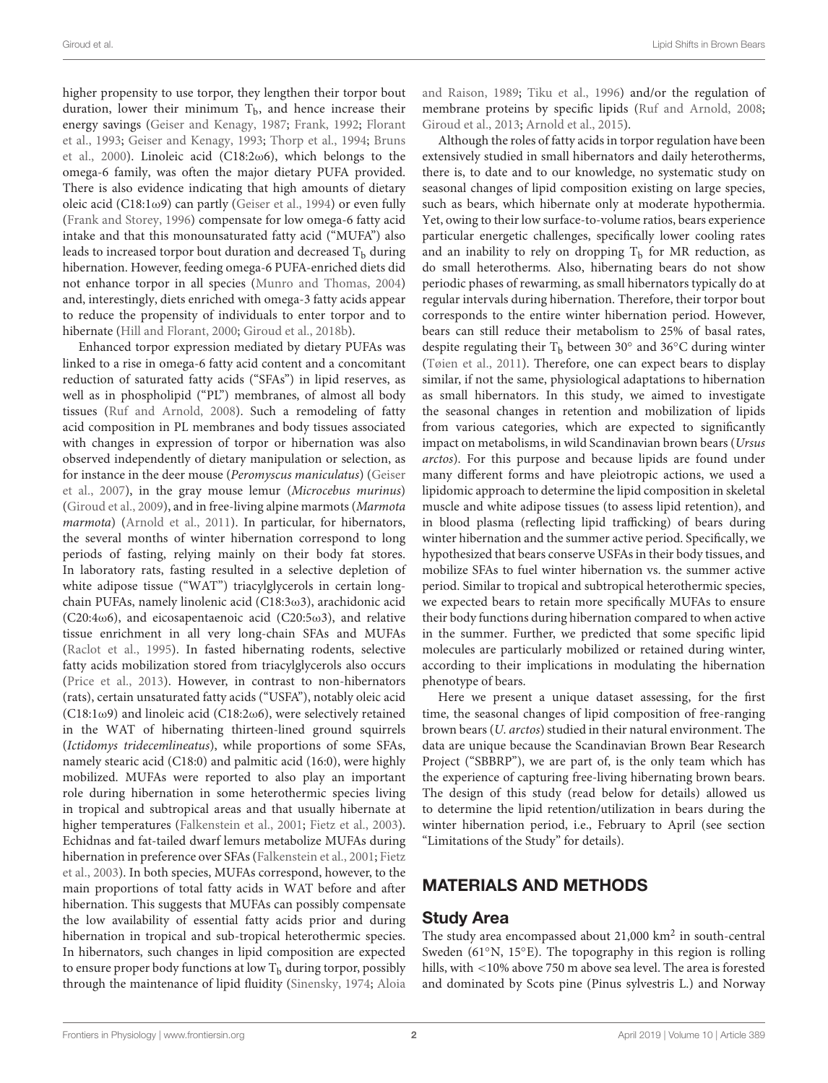higher propensity to use torpor, they lengthen their torpor bout duration, lower their minimum  $T<sub>b</sub>$ , and hence increase their energy savings [\(Geiser and Kenagy,](#page-12-0) [1987;](#page-12-0) [Frank,](#page-11-0) [1992;](#page-11-0) [Florant](#page-11-1) [et al.,](#page-11-1) [1993;](#page-11-1) [Geiser and Kenagy,](#page-12-1) [1993;](#page-12-1) [Thorp et al.,](#page-13-0) [1994;](#page-13-0) [Bruns](#page-11-2) [et al.,](#page-11-2) [2000\)](#page-11-2). Linoleic acid (C18:2ω6), which belongs to the omega-6 family, was often the major dietary PUFA provided. There is also evidence indicating that high amounts of dietary oleic acid (C18:1 $\omega$ 9) can partly [\(Geiser et al.,](#page-12-2) [1994\)](#page-12-2) or even fully [\(Frank and Storey,](#page-12-3) [1996\)](#page-12-3) compensate for low omega-6 fatty acid intake and that this monounsaturated fatty acid ("MUFA") also leads to increased torpor bout duration and decreased  $T<sub>b</sub>$  during hibernation. However, feeding omega-6 PUFA-enriched diets did not enhance torpor in all species [\(Munro and Thomas,](#page-12-4) [2004\)](#page-12-4) and, interestingly, diets enriched with omega-3 fatty acids appear to reduce the propensity of individuals to enter torpor and to hibernate [\(Hill and Florant,](#page-12-5) [2000;](#page-12-5) [Giroud et al.,](#page-12-6) [2018b\)](#page-12-6).

Enhanced torpor expression mediated by dietary PUFAs was linked to a rise in omega-6 fatty acid content and a concomitant reduction of saturated fatty acids ("SFAs") in lipid reserves, as well as in phospholipid ("PL") membranes, of almost all body tissues [\(Ruf and Arnold,](#page-12-7) [2008\)](#page-12-7). Such a remodeling of fatty acid composition in PL membranes and body tissues associated with changes in expression of torpor or hibernation was also observed independently of dietary manipulation or selection, as for instance in the deer mouse (Peromyscus maniculatus) [\(Geiser](#page-12-8) [et al.,](#page-12-8) [2007\)](#page-12-8), in the gray mouse lemur (Microcebus murinus) [\(Giroud et al.,](#page-12-9) [2009\)](#page-12-9), and in free-living alpine marmots (Marmota marmota) [\(Arnold et al.,](#page-11-3) [2011\)](#page-11-3). In particular, for hibernators, the several months of winter hibernation correspond to long periods of fasting, relying mainly on their body fat stores. In laboratory rats, fasting resulted in a selective depletion of white adipose tissue ("WAT") triacylglycerols in certain longchain PUFAs, namely linolenic acid (C18:3ω3), arachidonic acid (C20:4 $\omega$ 6), and eicosapentaenoic acid (C20:5 $\omega$ 3), and relative tissue enrichment in all very long-chain SFAs and MUFAs [\(Raclot et al.,](#page-12-10) [1995\)](#page-12-10). In fasted hibernating rodents, selective fatty acids mobilization stored from triacylglycerols also occurs [\(Price et al.,](#page-12-11) [2013\)](#page-12-11). However, in contrast to non-hibernators (rats), certain unsaturated fatty acids ("USFA"), notably oleic acid  $(C18:1\omega9)$  and linoleic acid  $(C18:2\omega6)$ , were selectively retained in the WAT of hibernating thirteen-lined ground squirrels (Ictidomys tridecemlineatus), while proportions of some SFAs, namely stearic acid (C18:0) and palmitic acid (16:0), were highly mobilized. MUFAs were reported to also play an important role during hibernation in some heterothermic species living in tropical and subtropical areas and that usually hibernate at higher temperatures [\(Falkenstein et al.,](#page-11-4) [2001;](#page-11-4) [Fietz et al.,](#page-11-5) [2003\)](#page-11-5). Echidnas and fat-tailed dwarf lemurs metabolize MUFAs during hibernation in preference over SFAs [\(Falkenstein et al.,](#page-11-4) [2001;](#page-11-4) [Fietz](#page-11-5) [et al.,](#page-11-5) [2003\)](#page-11-5). In both species, MUFAs correspond, however, to the main proportions of total fatty acids in WAT before and after hibernation. This suggests that MUFAs can possibly compensate the low availability of essential fatty acids prior and during hibernation in tropical and sub-tropical heterothermic species. In hibernators, such changes in lipid composition are expected to ensure proper body functions at low  $T<sub>b</sub>$  during torpor, possibly through the maintenance of lipid fluidity [\(Sinensky,](#page-13-1) [1974;](#page-13-1) [Aloia](#page-11-6)

[and Raison,](#page-11-6) [1989;](#page-11-6) [Tiku et al.,](#page-13-2) [1996\)](#page-13-2) and/or the regulation of membrane proteins by specific lipids [\(Ruf and Arnold,](#page-12-7) [2008;](#page-12-7) [Giroud et al.,](#page-12-12) [2013;](#page-12-12) [Arnold et al.,](#page-11-7) [2015\)](#page-11-7).

Although the roles of fatty acids in torpor regulation have been extensively studied in small hibernators and daily heterotherms, there is, to date and to our knowledge, no systematic study on seasonal changes of lipid composition existing on large species, such as bears, which hibernate only at moderate hypothermia. Yet, owing to their low surface-to-volume ratios, bears experience particular energetic challenges, specifically lower cooling rates and an inability to rely on dropping  $T<sub>b</sub>$  for MR reduction, as do small heterotherms. Also, hibernating bears do not show periodic phases of rewarming, as small hibernators typically do at regular intervals during hibernation. Therefore, their torpor bout corresponds to the entire winter hibernation period. However, bears can still reduce their metabolism to 25% of basal rates, despite regulating their  $\mathrm{T_b}$  between 30 $^{\circ}$  and 36 $^{\circ}$ C during winter [\(Tøien et al.,](#page-13-3) [2011\)](#page-13-3). Therefore, one can expect bears to display similar, if not the same, physiological adaptations to hibernation as small hibernators. In this study, we aimed to investigate the seasonal changes in retention and mobilization of lipids from various categories, which are expected to significantly impact on metabolisms, in wild Scandinavian brown bears (Ursus arctos). For this purpose and because lipids are found under many different forms and have pleiotropic actions, we used a lipidomic approach to determine the lipid composition in skeletal muscle and white adipose tissues (to assess lipid retention), and in blood plasma (reflecting lipid trafficking) of bears during winter hibernation and the summer active period. Specifically, we hypothesized that bears conserve USFAs in their body tissues, and mobilize SFAs to fuel winter hibernation vs. the summer active period. Similar to tropical and subtropical heterothermic species, we expected bears to retain more specifically MUFAs to ensure their body functions during hibernation compared to when active in the summer. Further, we predicted that some specific lipid molecules are particularly mobilized or retained during winter, according to their implications in modulating the hibernation phenotype of bears.

Here we present a unique dataset assessing, for the first time, the seasonal changes of lipid composition of free-ranging brown bears (U. arctos) studied in their natural environment. The data are unique because the Scandinavian Brown Bear Research Project ("SBBRP"), we are part of, is the only team which has the experience of capturing free-living hibernating brown bears. The design of this study (read below for details) allowed us to determine the lipid retention/utilization in bears during the winter hibernation period, i.e., February to April (see section "Limitations of the Study" for details).

### MATERIALS AND METHODS

#### Study Area

The study area encompassed about  $21,000$  km<sup>2</sup> in south-central Sweden (61◦N, 15◦E). The topography in this region is rolling hills, with <10% above 750 m above sea level. The area is forested and dominated by Scots pine (Pinus sylvestris L.) and Norway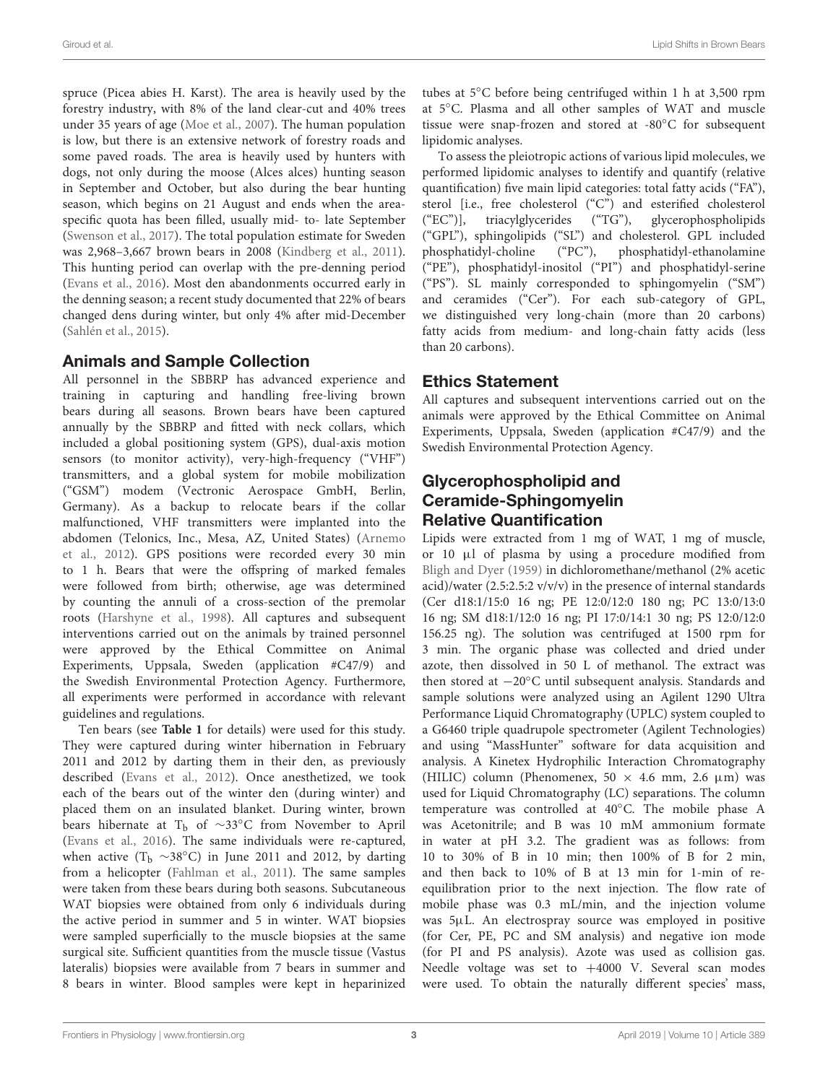spruce (Picea abies H. Karst). The area is heavily used by the forestry industry, with 8% of the land clear-cut and 40% trees under 35 years of age [\(Moe et al.,](#page-12-13) [2007\)](#page-12-13). The human population is low, but there is an extensive network of forestry roads and some paved roads. The area is heavily used by hunters with dogs, not only during the moose (Alces alces) hunting season in September and October, but also during the bear hunting season, which begins on 21 August and ends when the areaspecific quota has been filled, usually mid- to- late September [\(Swenson et al.,](#page-13-4) [2017\)](#page-13-4). The total population estimate for Sweden was 2,968–3,667 brown bears in 2008 [\(Kindberg et al.,](#page-12-14) [2011\)](#page-12-14). This hunting period can overlap with the pre-denning period [\(Evans et al.,](#page-11-8) [2016\)](#page-11-8). Most den abandonments occurred early in the denning season; a recent study documented that 22% of bears changed dens during winter, but only 4% after mid-December [\(Sahlén et al.,](#page-13-5) [2015\)](#page-13-5).

#### Animals and Sample Collection

All personnel in the SBBRP has advanced experience and training in capturing and handling free-living brown bears during all seasons. Brown bears have been captured annually by the SBBRP and fitted with neck collars, which included a global positioning system (GPS), dual-axis motion sensors (to monitor activity), very-high-frequency ("VHF") transmitters, and a global system for mobile mobilization ("GSM") modem (Vectronic Aerospace GmbH, Berlin, Germany). As a backup to relocate bears if the collar malfunctioned, VHF transmitters were implanted into the abdomen (Telonics, Inc., Mesa, AZ, United States) [\(Arnemo](#page-11-9) [et al.,](#page-11-9) [2012\)](#page-11-9). GPS positions were recorded every 30 min to 1 h. Bears that were the offspring of marked females were followed from birth; otherwise, age was determined by counting the annuli of a cross-section of the premolar roots [\(Harshyne et al.,](#page-12-15) [1998\)](#page-12-15). All captures and subsequent interventions carried out on the animals by trained personnel were approved by the Ethical Committee on Animal Experiments, Uppsala, Sweden (application #C47/9) and the Swedish Environmental Protection Agency. Furthermore, all experiments were performed in accordance with relevant guidelines and regulations.

Ten bears (see **[Table 1](#page-3-0)** for details) were used for this study. They were captured during winter hibernation in February 2011 and 2012 by darting them in their den, as previously described [\(Evans et al.,](#page-11-10) [2012\)](#page-11-10). Once anesthetized, we took each of the bears out of the winter den (during winter) and placed them on an insulated blanket. During winter, brown bears hibernate at T<sub>b</sub> of ~33℃ from November to April [\(Evans et al.,](#page-11-8) [2016\)](#page-11-8). The same individuals were re-captured, when active (T<sub>b</sub> ∼38°C) in June 2011 and 2012, by darting from a helicopter [\(Fahlman et al.,](#page-11-11) [2011\)](#page-11-11). The same samples were taken from these bears during both seasons. Subcutaneous WAT biopsies were obtained from only 6 individuals during the active period in summer and 5 in winter. WAT biopsies were sampled superficially to the muscle biopsies at the same surgical site. Sufficient quantities from the muscle tissue (Vastus lateralis) biopsies were available from 7 bears in summer and 8 bears in winter. Blood samples were kept in heparinized

tubes at 5◦C before being centrifuged within 1 h at 3,500 rpm at 5◦C. Plasma and all other samples of WAT and muscle tissue were snap-frozen and stored at -80◦C for subsequent lipidomic analyses.

To assess the pleiotropic actions of various lipid molecules, we performed lipidomic analyses to identify and quantify (relative quantification) five main lipid categories: total fatty acids ("FA"), sterol [i.e., free cholesterol ("C") and esterified cholesterol ("EC")], triacylglycerides ("TG"), glycerophospholipids ("GPL"), sphingolipids ("SL") and cholesterol. GPL included phosphatidyl-choline ("PC"), phosphatidyl-ethanolamine ("PE"), phosphatidyl-inositol ("PI") and phosphatidyl-serine ("PS"). SL mainly corresponded to sphingomyelin ("SM") and ceramides ("Cer"). For each sub-category of GPL, we distinguished very long-chain (more than 20 carbons) fatty acids from medium- and long-chain fatty acids (less than 20 carbons).

### Ethics Statement

All captures and subsequent interventions carried out on the animals were approved by the Ethical Committee on Animal Experiments, Uppsala, Sweden (application #C47/9) and the Swedish Environmental Protection Agency.

# Glycerophospholipid and Ceramide-Sphingomyelin Relative Quantification

Lipids were extracted from 1 mg of WAT, 1 mg of muscle, or 10 µl of plasma by using a procedure modified from [Bligh and Dyer](#page-11-12) [\(1959\)](#page-11-12) in dichloromethane/methanol (2% acetic acid)/water (2.5:2.5:2 v/v/v) in the presence of internal standards (Cer d18:1/15:0 16 ng; PE 12:0/12:0 180 ng; PC 13:0/13:0 16 ng; SM d18:1/12:0 16 ng; PI 17:0/14:1 30 ng; PS 12:0/12:0 156.25 ng). The solution was centrifuged at 1500 rpm for 3 min. The organic phase was collected and dried under azote, then dissolved in 50 L of methanol. The extract was then stored at −20◦C until subsequent analysis. Standards and sample solutions were analyzed using an Agilent 1290 Ultra Performance Liquid Chromatography (UPLC) system coupled to a G6460 triple quadrupole spectrometer (Agilent Technologies) and using "MassHunter" software for data acquisition and analysis. A Kinetex Hydrophilic Interaction Chromatography (HILIC) column (Phenomenex,  $50 \times 4.6$  mm,  $2.6 \mu m$ ) was used for Liquid Chromatography (LC) separations. The column temperature was controlled at 40◦C. The mobile phase A was Acetonitrile; and B was 10 mM ammonium formate in water at pH 3.2. The gradient was as follows: from 10 to 30% of B in 10 min; then 100% of B for 2 min, and then back to 10% of B at 13 min for 1-min of reequilibration prior to the next injection. The flow rate of mobile phase was 0.3 mL/min, and the injection volume was 5µL. An electrospray source was employed in positive (for Cer, PE, PC and SM analysis) and negative ion mode (for PI and PS analysis). Azote was used as collision gas. Needle voltage was set to +4000 V. Several scan modes were used. To obtain the naturally different species' mass,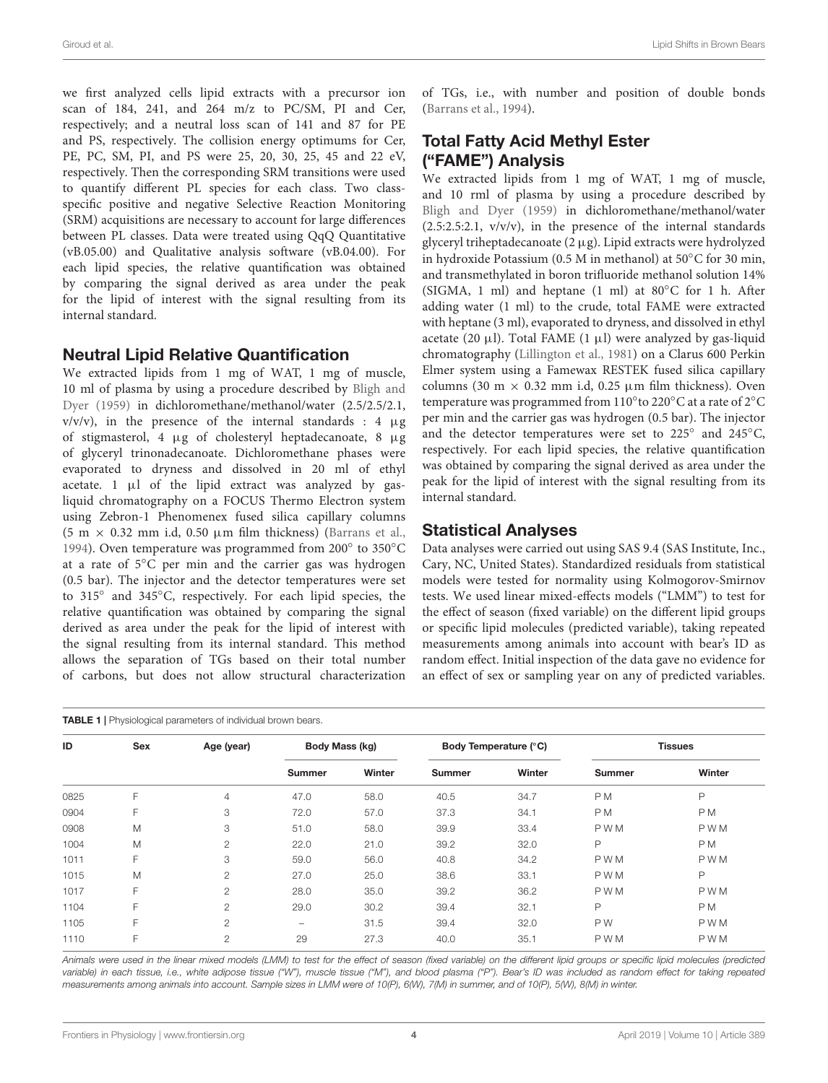we first analyzed cells lipid extracts with a precursor ion scan of 184, 241, and 264 m/z to PC/SM, PI and Cer, respectively; and a neutral loss scan of 141 and 87 for PE and PS, respectively. The collision energy optimums for Cer, PE, PC, SM, PI, and PS were 25, 20, 30, 25, 45 and 22 eV, respectively. Then the corresponding SRM transitions were used to quantify different PL species for each class. Two classspecific positive and negative Selective Reaction Monitoring (SRM) acquisitions are necessary to account for large differences between PL classes. Data were treated using QqQ Quantitative (vB.05.00) and Qualitative analysis software (vB.04.00). For each lipid species, the relative quantification was obtained by comparing the signal derived as area under the peak for the lipid of interest with the signal resulting from its internal standard.

#### Neutral Lipid Relative Quantification

We extracted lipids from 1 mg of WAT, 1 mg of muscle, 10 ml of plasma by using a procedure described by [Bligh and](#page-11-12) [Dyer](#page-11-12) [\(1959\)](#page-11-12) in dichloromethane/methanol/water (2.5/2.5/2.1,  $v/v/v$ , in the presence of the internal standards : 4  $\mu$ g of stigmasterol, 4 µg of cholesteryl heptadecanoate, 8 µg of glyceryl trinonadecanoate. Dichloromethane phases were evaporated to dryness and dissolved in 20 ml of ethyl acetate.  $1 \mu l$  of the lipid extract was analyzed by gasliquid chromatography on a FOCUS Thermo Electron system using Zebron-1 Phenomenex fused silica capillary columns (5 m  $\times$  0.32 mm i.d, 0.50 µm film thickness) [\(Barrans et al.,](#page-11-13) [1994\)](#page-11-13). Oven temperature was programmed from 200° to 350°C at a rate of 5◦C per min and the carrier gas was hydrogen (0.5 bar). The injector and the detector temperatures were set to 315◦ and 345◦C, respectively. For each lipid species, the relative quantification was obtained by comparing the signal derived as area under the peak for the lipid of interest with the signal resulting from its internal standard. This method allows the separation of TGs based on their total number of carbons, but does not allow structural characterization

<span id="page-3-0"></span>

of TGs, i.e., with number and position of double bonds [\(Barrans et al.,](#page-11-13) [1994\)](#page-11-13).

# Total Fatty Acid Methyl Ester ("FAME") Analysis

We extracted lipids from 1 mg of WAT, 1 mg of muscle, and 10 rml of plasma by using a procedure described by [Bligh and Dyer](#page-11-12) [\(1959\)](#page-11-12) in dichloromethane/methanol/water  $(2.5:2.5:2.1, v/v/v)$ , in the presence of the internal standards glyceryl triheptadecanoate (2 µg). Lipid extracts were hydrolyzed in hydroxide Potassium (0.5 M in methanol) at 50◦C for 30 min, and transmethylated in boron trifluoride methanol solution 14% (SIGMA, 1 ml) and heptane (1 ml) at 80◦C for 1 h. After adding water (1 ml) to the crude, total FAME were extracted with heptane (3 ml), evaporated to dryness, and dissolved in ethyl acetate (20  $\mu$ l). Total FAME (1  $\mu$ l) were analyzed by gas-liquid chromatography [\(Lillington et al.,](#page-12-16) [1981\)](#page-12-16) on a Clarus 600 Perkin Elmer system using a Famewax RESTEK fused silica capillary columns (30 m  $\times$  0.32 mm i.d, 0.25 µm film thickness). Oven temperature was programmed from 110° to 220°C at a rate of 2°C per min and the carrier gas was hydrogen (0.5 bar). The injector and the detector temperatures were set to 225° and 245°C, respectively. For each lipid species, the relative quantification was obtained by comparing the signal derived as area under the peak for the lipid of interest with the signal resulting from its internal standard.

#### Statistical Analyses

Data analyses were carried out using SAS 9.4 (SAS Institute, Inc., Cary, NC, United States). Standardized residuals from statistical models were tested for normality using Kolmogorov-Smirnov tests. We used linear mixed-effects models ("LMM") to test for the effect of season (fixed variable) on the different lipid groups or specific lipid molecules (predicted variable), taking repeated measurements among animals into account with bear's ID as random effect. Initial inspection of the data gave no evidence for an effect of sex or sampling year on any of predicted variables.

| ID   | Sex | Age (year)     | Body Mass (kg)           |        | Body Temperature (°C) |        | <b>Tissues</b> |                |
|------|-----|----------------|--------------------------|--------|-----------------------|--------|----------------|----------------|
|      |     |                | <b>Summer</b>            | Winter | <b>Summer</b>         | Winter | <b>Summer</b>  | Winter         |
| 0825 | F   | $\overline{4}$ | 47.0                     | 58.0   | 40.5                  | 34.7   | PM             | P              |
| 0904 | F   | 3              | 72.0                     | 57.0   | 37.3                  | 34.1   | PM             | P <sub>M</sub> |
| 0908 | M   | 3              | 51.0                     | 58.0   | 39.9                  | 33.4   | <b>PWM</b>     | <b>PWM</b>     |
| 1004 | M   | $\overline{2}$ | 22.0                     | 21.0   | 39.2                  | 32.0   | P              | P <sub>M</sub> |
| 1011 | F   | 3              | 59.0                     | 56.0   | 40.8                  | 34.2   | <b>PWM</b>     | <b>PWM</b>     |
| 1015 | M   | 2              | 27.0                     | 25.0   | 38.6                  | 33.1   | <b>PWM</b>     | P              |
| 1017 | F   | $\mathbf{2}$   | 28.0                     | 35.0   | 39.2                  | 36.2   | <b>PWM</b>     | <b>PWM</b>     |
| 1104 | F   | $\overline{2}$ | 29.0                     | 30.2   | 39.4                  | 32.1   | P              | P <sub>M</sub> |
| 1105 | F   | $\mathbf{2}$   | $\overline{\phantom{0}}$ | 31.5   | 39.4                  | 32.0   | PW             | <b>PWM</b>     |
| 1110 | F   | $\overline{2}$ | 29                       | 27.3   | 40.0                  | 35.1   | <b>PWM</b>     | <b>PWM</b>     |
|      |     |                |                          |        |                       |        |                |                |

Animals were used in the linear mixed models (LMM) to test for the effect of season (fixed variable) on the different lipid groups or specific lipid molecules (predicted variable) in each tissue, i.e., white adipose tissue ("W"), muscle tissue ("M"), and blood plasma ("P"). Bear's ID was included as random effect for taking repeated measurements among animals into account. Sample sizes in LMM were of 10(P), 6(W), 7(M) in summer, and of 10(P), 5(W), 8(M) in winter.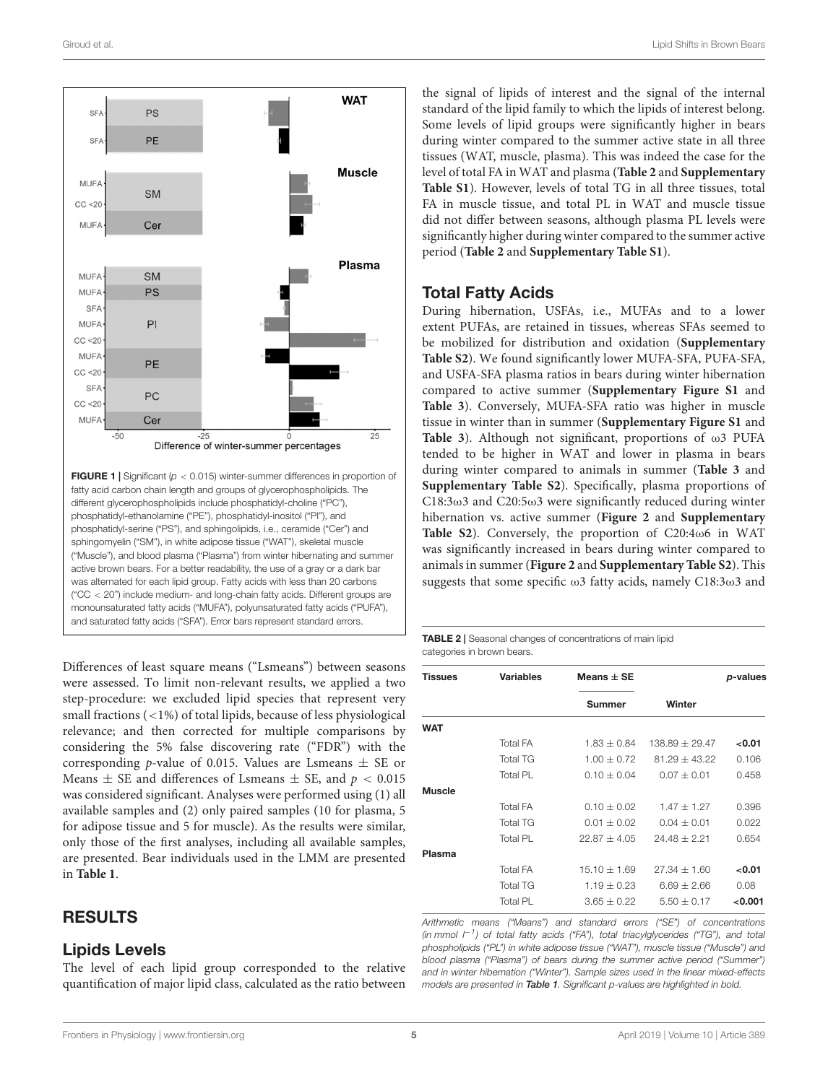

<span id="page-4-1"></span>Differences of least square means ("Lsmeans") between seasons were assessed. To limit non-relevant results, we applied a two step-procedure: we excluded lipid species that represent very small fractions (<1%) of total lipids, because of less physiological relevance; and then corrected for multiple comparisons by considering the 5% false discovering rate ("FDR") with the corresponding *p*-value of 0.015. Values are Lsmeans  $\pm$  SE or Means  $\pm$  SE and differences of Lsmeans  $\pm$  SE, and  $p < 0.015$ was considered significant. Analyses were performed using (1) all available samples and (2) only paired samples (10 for plasma, 5 for adipose tissue and 5 for muscle). As the results were similar, only those of the first analyses, including all available samples, are presented. Bear individuals used in the LMM are presented in **[Table 1](#page-3-0)**.

### RESULTS

#### Lipids Levels

The level of each lipid group corresponded to the relative quantification of major lipid class, calculated as the ratio between the signal of lipids of interest and the signal of the internal standard of the lipid family to which the lipids of interest belong. Some levels of lipid groups were significantly higher in bears during winter compared to the summer active state in all three tissues (WAT, muscle, plasma). This was indeed the case for the level of total FA in WAT and plasma (**[Table 2](#page-4-0)** and **[Supplementary](#page-11-14) [Table S1](#page-11-14)**). However, levels of total TG in all three tissues, total FA in muscle tissue, and total PL in WAT and muscle tissue did not differ between seasons, although plasma PL levels were significantly higher during winter compared to the summer active period (**[Table 2](#page-4-0)** and **[Supplementary Table S1](#page-11-14)**).

#### Total Fatty Acids

During hibernation, USFAs, i.e., MUFAs and to a lower extent PUFAs, are retained in tissues, whereas SFAs seemed to be mobilized for distribution and oxidation (**[Supplementary](#page-11-14) [Table S2](#page-11-14)**). We found significantly lower MUFA-SFA, PUFA-SFA, and USFA-SFA plasma ratios in bears during winter hibernation compared to active summer (**[Supplementary Figure S1](#page-11-14)** and **[Table 3](#page-5-0)**). Conversely, MUFA-SFA ratio was higher in muscle tissue in winter than in summer (**[Supplementary Figure S1](#page-11-14)** and **[Table 3](#page-5-0)**). Although not significant, proportions of ω3 PUFA tended to be higher in WAT and lower in plasma in bears during winter compared to animals in summer (**[Table 3](#page-5-0)** and **[Supplementary Table S2](#page-11-14)**). Specifically, plasma proportions of C18:3 $\omega$ 3 and C20:5 $\omega$ 3 were significantly reduced during winter hibernation vs. active summer (**[Figure 2](#page-6-0)** and **[Supplementary](#page-11-14) [Table S2](#page-11-14)**). Conversely, the proportion of C20:4ω6 in WAT was significantly increased in bears during winter compared to animals in summer (**[Figure 2](#page-6-0)** and **[Supplementary Table S2](#page-11-14)**). This suggests that some specific ω3 fatty acids, namely C18:3ω3 and

<span id="page-4-0"></span>TABLE 2 | Seasonal changes of concentrations of main lipid categories in brown bears.

| <b>Variables</b> | Means $\pm$ SE   |                  | p-values |  |
|------------------|------------------|------------------|----------|--|
|                  | <b>Summer</b>    | Winter           |          |  |
|                  |                  |                  |          |  |
| <b>Total FA</b>  | $1.83 + 0.84$    | $138.89 + 29.47$ | < 0.01   |  |
| <b>Total TG</b>  | $1.00 + 0.72$    | $81.29 + 43.22$  | 0.106    |  |
| Total PL         | $0.10 + 0.04$    | $0.07 + 0.01$    | 0.458    |  |
|                  |                  |                  |          |  |
| <b>Total FA</b>  | $0.10 + 0.02$    | $1.47 + 1.27$    | 0.396    |  |
| <b>Total TG</b>  | $0.01 + 0.02$    | $0.04 + 0.01$    | 0.022    |  |
| Total PL         | $22.87 \pm 4.05$ | $24.48 + 2.21$   | 0.654    |  |
|                  |                  |                  |          |  |
| <b>Total FA</b>  | $15.10 + 1.69$   | $27.34 + 1.60$   | < 0.01   |  |
| <b>Total TG</b>  | $1.19 + 0.23$    | $6.69 + 2.66$    | 0.08     |  |
| Total PL         | $3.65 + 0.22$    | $5.50 + 0.17$    | < 0.001  |  |
|                  |                  |                  |          |  |

Arithmetic means ("Means") and standard errors ("SE") of concentrations (in mmol  $l^{-1}$ ) of total fatty acids ("FA"), total triacylglycerides ("TG"), and total phospholipids ("PL") in white adipose tissue ("WAT"), muscle tissue ("Muscle") and blood plasma ("Plasma") of bears during the summer active period ("Summer") and in winter hibernation ("Winter"). Sample sizes used in the linear mixed-effects models are presented in [Table 1](#page-3-0). Significant p-values are highlighted in bold.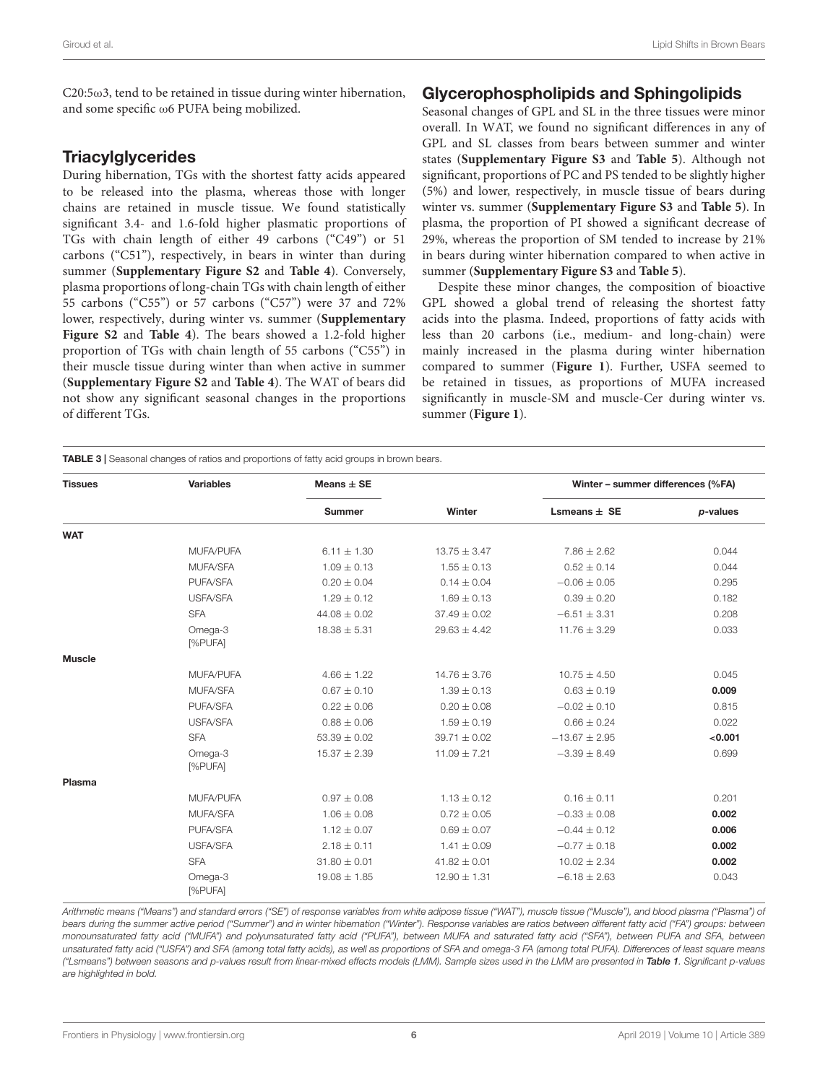$C20:5\omega$ 3, tend to be retained in tissue during winter hibernation, and some specific ω6 PUFA being mobilized.

#### **Triacylglycerides**

During hibernation, TGs with the shortest fatty acids appeared to be released into the plasma, whereas those with longer chains are retained in muscle tissue. We found statistically significant 3.4- and 1.6-fold higher plasmatic proportions of TGs with chain length of either 49 carbons ("C49") or 51 carbons ("C51"), respectively, in bears in winter than during summer (**[Supplementary Figure S2](#page-11-14)** and **[Table 4](#page-7-0)**). Conversely, plasma proportions of long-chain TGs with chain length of either 55 carbons ("C55") or 57 carbons ("C57") were 37 and 72% lower, respectively, during winter vs. summer (**[Supplementary](#page-11-14) [Figure S2](#page-11-14)** and **[Table 4](#page-7-0)**). The bears showed a 1.2-fold higher proportion of TGs with chain length of 55 carbons ("C55") in their muscle tissue during winter than when active in summer (**[Supplementary Figure S2](#page-11-14)** and **[Table 4](#page-7-0)**). The WAT of bears did not show any significant seasonal changes in the proportions of different TGs.

#### Glycerophospholipids and Sphingolipids

Seasonal changes of GPL and SL in the three tissues were minor overall. In WAT, we found no significant differences in any of GPL and SL classes from bears between summer and winter states (**[Supplementary Figure S3](#page-11-14)** and **[Table 5](#page-8-0)**). Although not significant, proportions of PC and PS tended to be slightly higher (5%) and lower, respectively, in muscle tissue of bears during winter vs. summer (**[Supplementary Figure S3](#page-11-14)** and **[Table 5](#page-8-0)**). In plasma, the proportion of PI showed a significant decrease of 29%, whereas the proportion of SM tended to increase by 21% in bears during winter hibernation compared to when active in summer (**[Supplementary Figure S3](#page-11-14)** and **[Table 5](#page-8-0)**).

Despite these minor changes, the composition of bioactive GPL showed a global trend of releasing the shortest fatty acids into the plasma. Indeed, proportions of fatty acids with less than 20 carbons (i.e., medium- and long-chain) were mainly increased in the plasma during winter hibernation compared to summer (**[Figure 1](#page-4-1)**). Further, USFA seemed to be retained in tissues, as proportions of MUFA increased significantly in muscle-SM and muscle-Cer during winter vs. summer (**[Figure 1](#page-4-1)**).

<span id="page-5-0"></span>

| <b>Tissues</b> | <b>Variables</b>   | Means $\pm$ SE   |                  | Winter - summer differences (%FA) |          |
|----------------|--------------------|------------------|------------------|-----------------------------------|----------|
|                |                    | <b>Summer</b>    | Winter           | Lsmeans $\pm$ SE                  | p-values |
| <b>WAT</b>     |                    |                  |                  |                                   |          |
|                | MUFA/PUFA          | $6.11 \pm 1.30$  | $13.75 \pm 3.47$ | $7.86 \pm 2.62$                   | 0.044    |
|                | MUFA/SFA           | $1.09 \pm 0.13$  | $1.55 \pm 0.13$  | $0.52 \pm 0.14$                   | 0.044    |
|                | PUFA/SFA           | $0.20 \pm 0.04$  | $0.14 \pm 0.04$  | $-0.06 \pm 0.05$                  | 0.295    |
|                | USFA/SFA           | $1.29 \pm 0.12$  | $1.69 \pm 0.13$  | $0.39 \pm 0.20$                   | 0.182    |
|                | <b>SFA</b>         | $44.08 \pm 0.02$ | $37.49 \pm 0.02$ | $-6.51 \pm 3.31$                  | 0.208    |
|                | Omega-3<br>[%PUFA] | $18.38 \pm 5.31$ | $29.63 \pm 4.42$ | $11.76 \pm 3.29$                  | 0.033    |
| <b>Muscle</b>  |                    |                  |                  |                                   |          |
|                | MUFA/PUFA          | $4.66 \pm 1.22$  | $14.76 \pm 3.76$ | $10.75 \pm 4.50$                  | 0.045    |
|                | MUFA/SFA           | $0.67 \pm 0.10$  | $1.39 \pm 0.13$  | $0.63 \pm 0.19$                   | 0.009    |
|                | PUFA/SFA           | $0.22 \pm 0.06$  | $0.20 \pm 0.08$  | $-0.02 \pm 0.10$                  | 0.815    |
|                | <b>USFA/SFA</b>    | $0.88 \pm 0.06$  | $1.59 \pm 0.19$  | $0.66 \pm 0.24$                   | 0.022    |
|                | <b>SFA</b>         | $53.39 \pm 0.02$ | $39.71 \pm 0.02$ | $-13.67 \pm 2.95$                 | < 0.001  |
|                | Omega-3<br>[%PUFA] | $15.37 \pm 2.39$ | $11.09 \pm 7.21$ | $-3.39 \pm 8.49$                  | 0.699    |
| Plasma         |                    |                  |                  |                                   |          |
|                | MUFA/PUFA          | $0.97 \pm 0.08$  | $1.13 \pm 0.12$  | $0.16 \pm 0.11$                   | 0.201    |
|                | MUFA/SFA           | $1.06 \pm 0.08$  | $0.72 \pm 0.05$  | $-0.33 \pm 0.08$                  | 0.002    |
|                | PUFA/SFA           | $1.12 \pm 0.07$  | $0.69 \pm 0.07$  | $-0.44 \pm 0.12$                  | 0.006    |
|                | USFA/SFA           | $2.18 \pm 0.11$  | $1.41 \pm 0.09$  | $-0.77 \pm 0.18$                  | 0.002    |
|                | <b>SFA</b>         | $31.80 \pm 0.01$ | $41.82 \pm 0.01$ | $10.02 \pm 2.34$                  | 0.002    |
|                | Omega-3<br>[%PUFA] | $19.08 \pm 1.85$ | $12.90 \pm 1.31$ | $-6.18 \pm 2.63$                  | 0.043    |

Arithmetic means ("Means") and standard errors ("SE") of response variables from white adipose tissue ("WAT"), muscle tissue ("Muscle"), and blood plasma ("Plasma") of bears during the summer active period ("Summer") and in winter hibernation ("Winter"). Response variables are ratios between different fatty acid ("FA") groups: between monounsaturated fatty acid ("MUFA") and polyunsaturated fatty acid ("PUFA"), between MUFA and saturated fatty acid ("SFA"), between PUFA and SFA, between unsaturated fatty acid ("USFA") and SFA (among total fatty acids), as well as proportions of SFA and omega-3 FA (among total PUFA). Differences of least square means ("Lsmeans") between seasons and p-values result from linear-mixed effects models (LMM). Sample sizes used in the LMM are presented in [Table 1](#page-3-0). Significant p-values are highlighted in bold.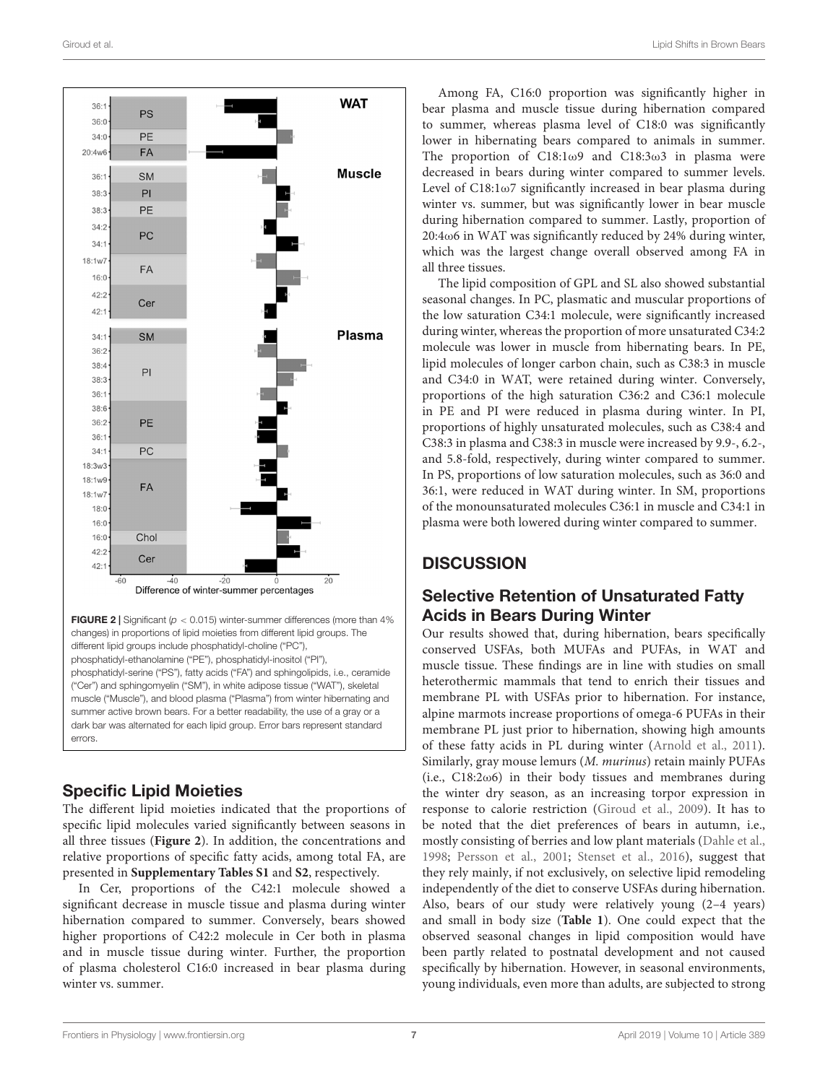

<span id="page-6-0"></span>**FIGURE 2** | Significant ( $p < 0.015$ ) winter-summer differences (more than 4% changes) in proportions of lipid moieties from different lipid groups. The different lipid groups include phosphatidyl-choline ("PC"), phosphatidyl-ethanolamine ("PE"), phosphatidyl-inositol ("PI"), phosphatidyl-serine ("PS"), fatty acids ("FA") and sphingolipids, i.e., ceramide ("Cer") and sphingomyelin ("SM"), in white adipose tissue ("WAT"), skeletal muscle ("Muscle"), and blood plasma ("Plasma") from winter hibernating and summer active brown bears. For a better readability, the use of a gray or a dark bar was alternated for each lipid group. Error bars represent standard errors.

# Specific Lipid Moieties

The different lipid moieties indicated that the proportions of specific lipid molecules varied significantly between seasons in all three tissues (**[Figure 2](#page-6-0)**). In addition, the concentrations and relative proportions of specific fatty acids, among total FA, are presented in **[Supplementary Tables S1](#page-11-14)** and **[S2](#page-11-14)**, respectively.

In Cer, proportions of the C42:1 molecule showed a significant decrease in muscle tissue and plasma during winter hibernation compared to summer. Conversely, bears showed higher proportions of C42:2 molecule in Cer both in plasma and in muscle tissue during winter. Further, the proportion of plasma cholesterol C16:0 increased in bear plasma during winter vs. summer.

Among FA, C16:0 proportion was significantly higher in bear plasma and muscle tissue during hibernation compared to summer, whereas plasma level of C18:0 was significantly lower in hibernating bears compared to animals in summer. The proportion of C18:1ω9 and C18:3ω3 in plasma were decreased in bears during winter compared to summer levels. Level of C18:1ω7 significantly increased in bear plasma during winter vs. summer, but was significantly lower in bear muscle during hibernation compared to summer. Lastly, proportion of 20:4ω6 in WAT was significantly reduced by 24% during winter, which was the largest change overall observed among FA in all three tissues.

The lipid composition of GPL and SL also showed substantial seasonal changes. In PC, plasmatic and muscular proportions of the low saturation C34:1 molecule, were significantly increased during winter, whereas the proportion of more unsaturated C34:2 molecule was lower in muscle from hibernating bears. In PE, lipid molecules of longer carbon chain, such as C38:3 in muscle and C34:0 in WAT, were retained during winter. Conversely, proportions of the high saturation C36:2 and C36:1 molecule in PE and PI were reduced in plasma during winter. In PI, proportions of highly unsaturated molecules, such as C38:4 and C38:3 in plasma and C38:3 in muscle were increased by 9.9-, 6.2-, and 5.8-fold, respectively, during winter compared to summer. In PS, proportions of low saturation molecules, such as 36:0 and 36:1, were reduced in WAT during winter. In SM, proportions of the monounsaturated molecules C36:1 in muscle and C34:1 in plasma were both lowered during winter compared to summer.

# **DISCUSSION**

### Selective Retention of Unsaturated Fatty Acids in Bears During Winter

Our results showed that, during hibernation, bears specifically conserved USFAs, both MUFAs and PUFAs, in WAT and muscle tissue. These findings are in line with studies on small heterothermic mammals that tend to enrich their tissues and membrane PL with USFAs prior to hibernation. For instance, alpine marmots increase proportions of omega-6 PUFAs in their membrane PL just prior to hibernation, showing high amounts of these fatty acids in PL during winter [\(Arnold et al.,](#page-11-3) [2011\)](#page-11-3). Similarly, gray mouse lemurs (M. murinus) retain mainly PUFAs (i.e.,  $C18:2\omega 6$ ) in their body tissues and membranes during the winter dry season, as an increasing torpor expression in response to calorie restriction [\(Giroud et al.,](#page-12-9) [2009\)](#page-12-9). It has to be noted that the diet preferences of bears in autumn, i.e., mostly consisting of berries and low plant materials [\(Dahle et al.,](#page-11-15) [1998;](#page-11-15) [Persson et al.,](#page-12-17) [2001;](#page-12-17) [Stenset et al.,](#page-13-6) [2016\)](#page-13-6), suggest that they rely mainly, if not exclusively, on selective lipid remodeling independently of the diet to conserve USFAs during hibernation. Also, bears of our study were relatively young (2–4 years) and small in body size (**[Table 1](#page-3-0)**). One could expect that the observed seasonal changes in lipid composition would have been partly related to postnatal development and not caused specifically by hibernation. However, in seasonal environments, young individuals, even more than adults, are subjected to strong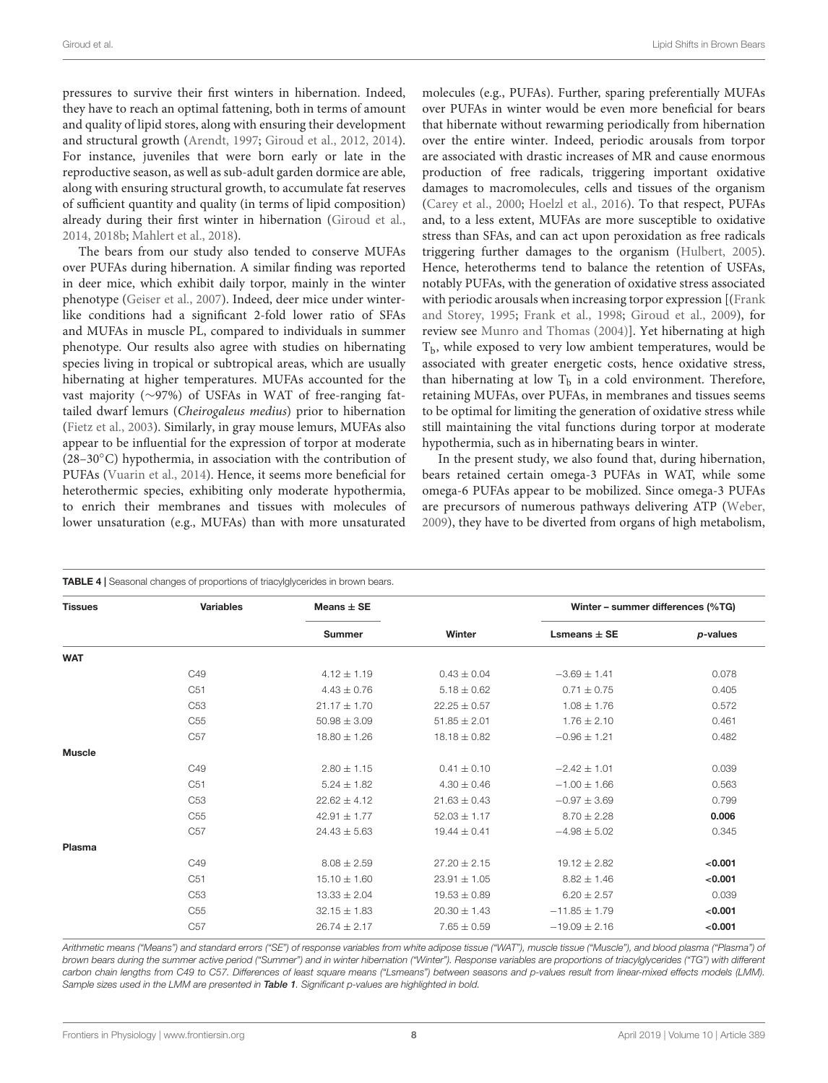pressures to survive their first winters in hibernation. Indeed, they have to reach an optimal fattening, both in terms of amount and quality of lipid stores, along with ensuring their development and structural growth [\(Arendt,](#page-11-16) [1997;](#page-11-16) [Giroud et al.,](#page-12-18) [2012,](#page-12-18) [2014\)](#page-12-19). For instance, juveniles that were born early or late in the reproductive season, as well as sub-adult garden dormice are able, along with ensuring structural growth, to accumulate fat reserves of sufficient quantity and quality (in terms of lipid composition) already during their first winter in hibernation [\(Giroud et al.,](#page-12-19) [2014,](#page-12-19) [2018b;](#page-12-6) [Mahlert et al.,](#page-12-20) [2018\)](#page-12-20).

The bears from our study also tended to conserve MUFAs over PUFAs during hibernation. A similar finding was reported in deer mice, which exhibit daily torpor, mainly in the winter phenotype [\(Geiser et al.,](#page-12-8) [2007\)](#page-12-8). Indeed, deer mice under winterlike conditions had a significant 2-fold lower ratio of SFAs and MUFAs in muscle PL, compared to individuals in summer phenotype. Our results also agree with studies on hibernating species living in tropical or subtropical areas, which are usually hibernating at higher temperatures. MUFAs accounted for the vast majority (∼97%) of USFAs in WAT of free-ranging fattailed dwarf lemurs (Cheirogaleus medius) prior to hibernation [\(Fietz et al.,](#page-11-5) [2003\)](#page-11-5). Similarly, in gray mouse lemurs, MUFAs also appear to be influential for the expression of torpor at moderate (28–30◦C) hypothermia, in association with the contribution of PUFAs [\(Vuarin et al.,](#page-13-7) [2014\)](#page-13-7). Hence, it seems more beneficial for heterothermic species, exhibiting only moderate hypothermia, to enrich their membranes and tissues with molecules of lower unsaturation (e.g., MUFAs) than with more unsaturated

molecules (e.g., PUFAs). Further, sparing preferentially MUFAs over PUFAs in winter would be even more beneficial for bears that hibernate without rewarming periodically from hibernation over the entire winter. Indeed, periodic arousals from torpor are associated with drastic increases of MR and cause enormous production of free radicals, triggering important oxidative damages to macromolecules, cells and tissues of the organism [\(Carey et al.,](#page-11-17) [2000;](#page-11-17) [Hoelzl et al.,](#page-12-21) [2016\)](#page-12-21). To that respect, PUFAs and, to a less extent, MUFAs are more susceptible to oxidative stress than SFAs, and can act upon peroxidation as free radicals triggering further damages to the organism [\(Hulbert,](#page-12-22) [2005\)](#page-12-22). Hence, heterotherms tend to balance the retention of USFAs, notably PUFAs, with the generation of oxidative stress associated with periodic arousals when increasing torpor expression [[\(Frank](#page-12-23) [and Storey,](#page-12-23) [1995;](#page-12-23) [Frank et al.,](#page-12-24) [1998;](#page-12-24) [Giroud et al.,](#page-12-9) [2009\)](#page-12-9), for review see [Munro and Thomas](#page-12-4) [\(2004\)](#page-12-4)]. Yet hibernating at high  $T<sub>b</sub>$ , while exposed to very low ambient temperatures, would be associated with greater energetic costs, hence oxidative stress, than hibernating at low  $T<sub>b</sub>$  in a cold environment. Therefore, retaining MUFAs, over PUFAs, in membranes and tissues seems to be optimal for limiting the generation of oxidative stress while still maintaining the vital functions during torpor at moderate hypothermia, such as in hibernating bears in winter.

In the present study, we also found that, during hibernation, bears retained certain omega-3 PUFAs in WAT, while some omega-6 PUFAs appear to be mobilized. Since omega-3 PUFAs are precursors of numerous pathways delivering ATP [\(Weber,](#page-13-8) [2009\)](#page-13-8), they have to be diverted from organs of high metabolism,

<span id="page-7-0"></span>

| <b>Tissues</b> | <b>Variables</b> | Means $\pm$ SE   |                  | Winter - summer differences (%TG) |          |
|----------------|------------------|------------------|------------------|-----------------------------------|----------|
|                |                  | <b>Summer</b>    | Winter           | Lsmeans $\pm$ SE                  | p-values |
| <b>WAT</b>     |                  |                  |                  |                                   |          |
|                | C49              | $4.12 \pm 1.19$  | $0.43 \pm 0.04$  | $-3.69 \pm 1.41$                  | 0.078    |
|                | C <sub>51</sub>  | $4.43 \pm 0.76$  | $5.18 \pm 0.62$  | $0.71 \pm 0.75$                   | 0.405    |
|                | C <sub>53</sub>  | $21.17 \pm 1.70$ | $22.25 \pm 0.57$ | $1.08 \pm 1.76$                   | 0.572    |
|                | C <sub>55</sub>  | $50.98 \pm 3.09$ | $51.85 \pm 2.01$ | $1.76 \pm 2.10$                   | 0.461    |
|                | C <sub>57</sub>  | $18.80 \pm 1.26$ | $18.18 \pm 0.82$ | $-0.96 \pm 1.21$                  | 0.482    |
| <b>Muscle</b>  |                  |                  |                  |                                   |          |
|                | C49              | $2.80 \pm 1.15$  | $0.41 \pm 0.10$  | $-2.42 \pm 1.01$                  | 0.039    |
|                | C <sub>51</sub>  | $5.24 \pm 1.82$  | $4.30 \pm 0.46$  | $-1.00 \pm 1.66$                  | 0.563    |
|                | C <sub>53</sub>  | $22.62 \pm 4.12$ | $21.63 \pm 0.43$ | $-0.97 \pm 3.69$                  | 0.799    |
|                | C <sub>55</sub>  | $42.91 \pm 1.77$ | $52.03 \pm 1.17$ | $8.70 \pm 2.28$                   | 0.006    |
|                | C <sub>57</sub>  | $24.43 \pm 5.63$ | $19.44 \pm 0.41$ | $-4.98 \pm 5.02$                  | 0.345    |
| Plasma         |                  |                  |                  |                                   |          |
|                | C49              | $8.08 \pm 2.59$  | $27.20 \pm 2.15$ | $19.12 \pm 2.82$                  | < 0.001  |
|                | C <sub>51</sub>  | $15.10 \pm 1.60$ | $23.91 \pm 1.05$ | $8.82 \pm 1.46$                   | < 0.001  |
|                | C <sub>53</sub>  | $13.33 \pm 2.04$ | $19.53 \pm 0.89$ | $6.20 \pm 2.57$                   | 0.039    |
|                | C <sub>55</sub>  | $32.15 \pm 1.83$ | $20.30 \pm 1.43$ | $-11.85 \pm 1.79$                 | < 0.001  |
|                | C <sub>57</sub>  | $26.74 \pm 2.17$ | $7.65 \pm 0.59$  | $-19.09 \pm 2.16$                 | < 0.001  |

Arithmetic means ("Means") and standard errors ("SE") of response variables from white adipose tissue ("WAT"), muscle tissue ("Muscle"), and blood plasma ("Plasma") of brown bears during the summer active period ("Summer") and in winter hibernation ("Winter"). Response variables are proportions of triacylglycerides ("TG") with different carbon chain lengths from C49 to C57. Differences of least square means ("Lsmeans") between seasons and p-values result from linear-mixed effects models (LMM). Sample sizes used in the LMM are presented in [Table 1](#page-3-0). Significant p-values are highlighted in bold.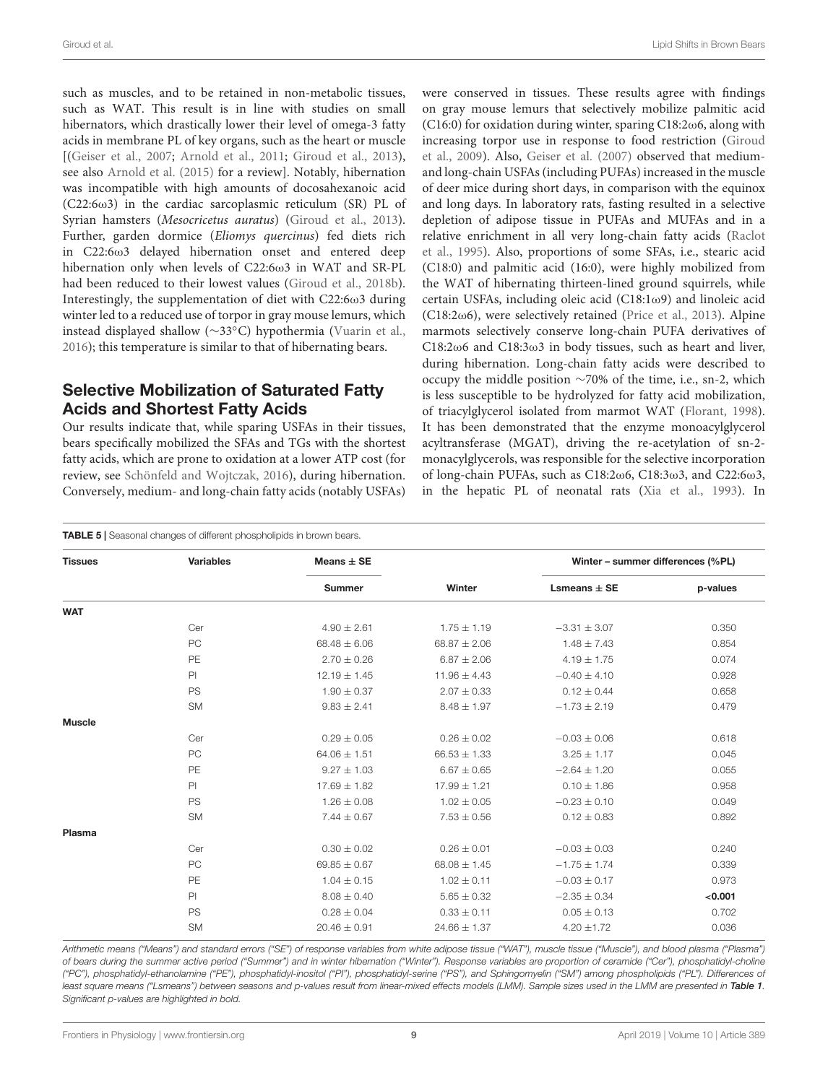such as muscles, and to be retained in non-metabolic tissues, such as WAT. This result is in line with studies on small hibernators, which drastically lower their level of omega-3 fatty acids in membrane PL of key organs, such as the heart or muscle [[\(Geiser et al.,](#page-12-8) [2007;](#page-12-8) [Arnold et al.,](#page-11-3) [2011;](#page-11-3) [Giroud et al.,](#page-12-12) [2013\)](#page-12-12), see also [Arnold et al.](#page-11-7) [\(2015\)](#page-11-7) for a review]. Notably, hibernation was incompatible with high amounts of docosahexanoic acid ( $C22:6\omega3$ ) in the cardiac sarcoplasmic reticulum (SR) PL of Syrian hamsters (*Mesocricetus auratus*) [\(Giroud et al.,](#page-12-12) [2013\)](#page-12-12). Further, garden dormice (Eliomys quercinus) fed diets rich in C22:6ω3 delayed hibernation onset and entered deep hibernation only when levels of C22:6ω3 in WAT and SR-PL had been reduced to their lowest values [\(Giroud et al.,](#page-12-6) [2018b\)](#page-12-6). Interestingly, the supplementation of diet with C22:6ω3 during winter led to a reduced use of torpor in gray mouse lemurs, which instead displayed shallow (∼33◦C) hypothermia [\(Vuarin et al.,](#page-13-9) [2016\)](#page-13-9); this temperature is similar to that of hibernating bears.

## Selective Mobilization of Saturated Fatty Acids and Shortest Fatty Acids

Our results indicate that, while sparing USFAs in their tissues, bears specifically mobilized the SFAs and TGs with the shortest fatty acids, which are prone to oxidation at a lower ATP cost (for review, see [Schönfeld and Wojtczak,](#page-13-10) [2016\)](#page-13-10), during hibernation. Conversely, medium- and long-chain fatty acids (notably USFAs)

were conserved in tissues. These results agree with findings on gray mouse lemurs that selectively mobilize palmitic acid (C16:0) for oxidation during winter, sparing C18:2ω6, along with increasing torpor use in response to food restriction [\(Giroud](#page-12-9) [et al.,](#page-12-9) [2009\)](#page-12-9). Also, [Geiser et al.](#page-12-8) [\(2007\)](#page-12-8) observed that mediumand long-chain USFAs (including PUFAs) increased in the muscle of deer mice during short days, in comparison with the equinox and long days. In laboratory rats, fasting resulted in a selective depletion of adipose tissue in PUFAs and MUFAs and in a relative enrichment in all very long-chain fatty acids [\(Raclot](#page-12-10) [et al.,](#page-12-10) [1995\)](#page-12-10). Also, proportions of some SFAs, i.e., stearic acid (C18:0) and palmitic acid (16:0), were highly mobilized from the WAT of hibernating thirteen-lined ground squirrels, while certain USFAs, including oleic acid (C18:1ω9) and linoleic acid ( $C18:2\omega$ 6), were selectively retained [\(Price et al.,](#page-12-11) [2013\)](#page-12-11). Alpine marmots selectively conserve long-chain PUFA derivatives of C18:2ω6 and C18:3ω3 in body tissues, such as heart and liver, during hibernation. Long-chain fatty acids were described to occupy the middle position ∼70% of the time, i.e., sn-2, which is less susceptible to be hydrolyzed for fatty acid mobilization, of triacylglycerol isolated from marmot WAT [\(Florant,](#page-11-18) [1998\)](#page-11-18). It has been demonstrated that the enzyme monoacylglycerol acyltransferase (MGAT), driving the re-acetylation of sn-2 monacylglycerols, was responsible for the selective incorporation of long-chain PUFAs, such as C18:2ω6, C18:3ω3, and C22:6ω3, in the hepatic PL of neonatal rats [\(Xia et al.,](#page-13-11) [1993\)](#page-13-11). In

#### <span id="page-8-0"></span>TABLE 5 | Seasonal changes of different phospholipids in brown bears.

| <b>Tissues</b> | <b>Variables</b> | Means $\pm$ SE   |                  | Winter - summer differences (%PL) |          |
|----------------|------------------|------------------|------------------|-----------------------------------|----------|
|                |                  | <b>Summer</b>    | Winter           | Lsmeans $\pm$ SE                  | p-values |
| <b>WAT</b>     |                  |                  |                  |                                   |          |
|                | Cer              | $4.90 \pm 2.61$  | $1.75 \pm 1.19$  | $-3.31 \pm 3.07$                  | 0.350    |
|                | PC               | $68.48 \pm 6.06$ | $68.87 \pm 2.06$ | $1.48 \pm 7.43$                   | 0.854    |
|                | PE               | $2.70 \pm 0.26$  | $6.87 \pm 2.06$  | $4.19 \pm 1.75$                   | 0.074    |
|                | PI               | $12.19 \pm 1.45$ | $11.96 \pm 4.43$ | $-0.40 \pm 4.10$                  | 0.928    |
|                | PS               | $1.90 \pm 0.37$  | $2.07 \pm 0.33$  | $0.12 \pm 0.44$                   | 0.658    |
|                | <b>SM</b>        | $9.83 \pm 2.41$  | $8.48 \pm 1.97$  | $-1.73 \pm 2.19$                  | 0.479    |
| <b>Muscle</b>  |                  |                  |                  |                                   |          |
|                | Cer              | $0.29 \pm 0.05$  | $0.26 \pm 0.02$  | $-0.03 \pm 0.06$                  | 0.618    |
|                | PC               | $64.06 \pm 1.51$ | $66.53 \pm 1.33$ | $3.25 \pm 1.17$                   | 0.045    |
|                | PE               | $9.27 \pm 1.03$  | $6.67 \pm 0.65$  | $-2.64 \pm 1.20$                  | 0.055    |
|                | PI               | $17.69 \pm 1.82$ | $17.99 \pm 1.21$ | $0.10 \pm 1.86$                   | 0.958    |
|                | PS               | $1.26 \pm 0.08$  | $1.02 \pm 0.05$  | $-0.23 \pm 0.10$                  | 0.049    |
|                | <b>SM</b>        | $7.44 \pm 0.67$  | $7.53 \pm 0.56$  | $0.12 \pm 0.83$                   | 0.892    |
| Plasma         |                  |                  |                  |                                   |          |
|                | Cer              | $0.30 \pm 0.02$  | $0.26 \pm 0.01$  | $-0.03 \pm 0.03$                  | 0.240    |
|                | PC               | $69.85 \pm 0.67$ | $68.08 \pm 1.45$ | $-1.75 \pm 1.74$                  | 0.339    |
|                | PE               | $1.04 \pm 0.15$  | $1.02 \pm 0.11$  | $-0.03 \pm 0.17$                  | 0.973    |
|                | PI               | $8.08 \pm 0.40$  | $5.65 \pm 0.32$  | $-2.35 \pm 0.34$                  | < 0.001  |
|                | <b>PS</b>        | $0.28 \pm 0.04$  | $0.33 \pm 0.11$  | $0.05 \pm 0.13$                   | 0.702    |
|                | <b>SM</b>        | $20.46 \pm 0.91$ | $24.66 \pm 1.37$ | $4.20 \pm 1.72$                   | 0.036    |
|                |                  |                  |                  |                                   |          |

Arithmetic means ("Means") and standard errors ("SE") of response variables from white adipose tissue ("WAT"), muscle tissue ("Muscle"), and blood plasma ("Plasma") of bears during the summer active period ("Summer") and in winter hibernation ("Winter"). Response variables are proportion of ceramide ("Cer"), phosphatidyl-choline ("PC"), phosphatidyl-ethanolamine ("PE"), phosphatidyl-inositol ("PI"), phosphatidyl-serine ("PS"), and Sphingomyelin ("SM") among phospholipids ("PL"). Differences of least square means ("Lsmeans") between seasons and p-values result from linear-mixed effects models (LMM). Sample sizes used in the LMM are presented in [Table 1](#page-3-0). Significant p-values are highlighted in bold.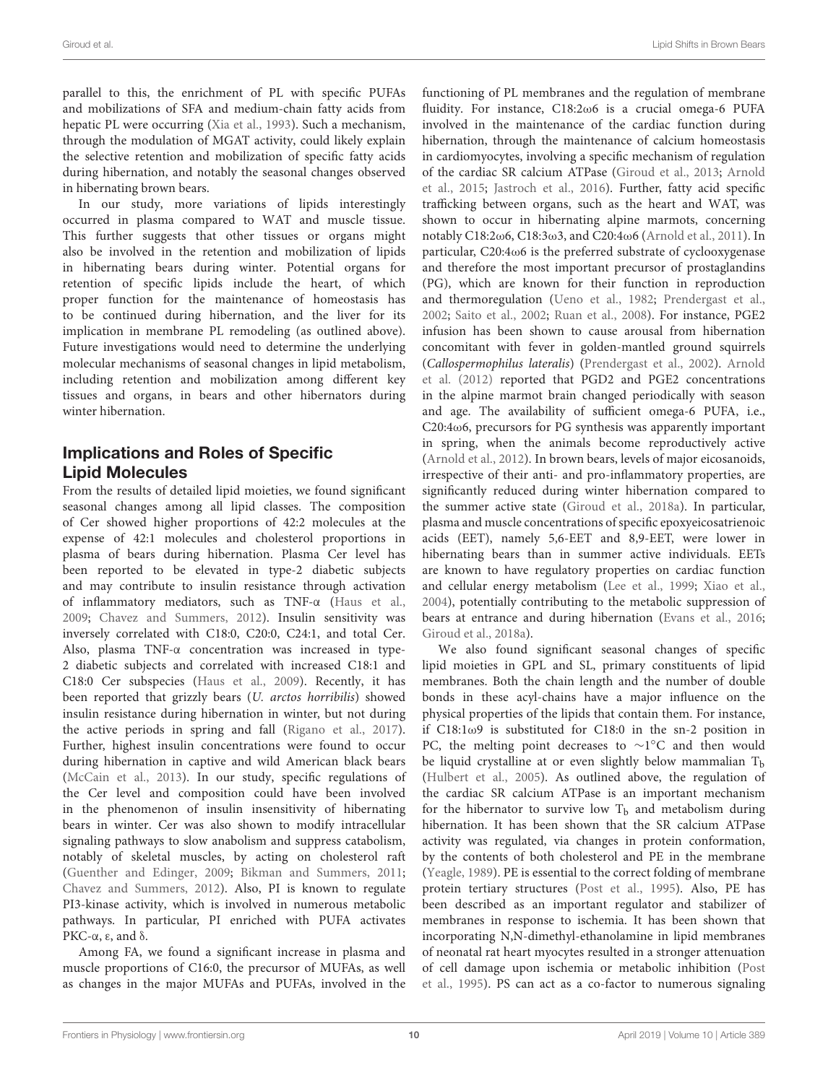parallel to this, the enrichment of PL with specific PUFAs and mobilizations of SFA and medium-chain fatty acids from hepatic PL were occurring [\(Xia et al.,](#page-13-11) [1993\)](#page-13-11). Such a mechanism, through the modulation of MGAT activity, could likely explain the selective retention and mobilization of specific fatty acids during hibernation, and notably the seasonal changes observed in hibernating brown bears.

In our study, more variations of lipids interestingly occurred in plasma compared to WAT and muscle tissue. This further suggests that other tissues or organs might also be involved in the retention and mobilization of lipids in hibernating bears during winter. Potential organs for retention of specific lipids include the heart, of which proper function for the maintenance of homeostasis has to be continued during hibernation, and the liver for its implication in membrane PL remodeling (as outlined above). Future investigations would need to determine the underlying molecular mechanisms of seasonal changes in lipid metabolism, including retention and mobilization among different key tissues and organs, in bears and other hibernators during winter hibernation.

### Implications and Roles of Specific Lipid Molecules

From the results of detailed lipid moieties, we found significant seasonal changes among all lipid classes. The composition of Cer showed higher proportions of 42:2 molecules at the expense of 42:1 molecules and cholesterol proportions in plasma of bears during hibernation. Plasma Cer level has been reported to be elevated in type-2 diabetic subjects and may contribute to insulin resistance through activation of inflammatory mediators, such as TNF-α [\(Haus et al.,](#page-12-25) [2009;](#page-12-25) [Chavez and Summers,](#page-11-19) [2012\)](#page-11-19). Insulin sensitivity was inversely correlated with C18:0, C20:0, C24:1, and total Cer. Also, plasma TNF-α concentration was increased in type-2 diabetic subjects and correlated with increased C18:1 and C18:0 Cer subspecies [\(Haus et al.,](#page-12-25) [2009\)](#page-12-25). Recently, it has been reported that grizzly bears (U. arctos horribilis) showed insulin resistance during hibernation in winter, but not during the active periods in spring and fall [\(Rigano et al.,](#page-12-26) [2017\)](#page-12-26). Further, highest insulin concentrations were found to occur during hibernation in captive and wild American black bears [\(McCain et al.,](#page-12-27) [2013\)](#page-12-27). In our study, specific regulations of the Cer level and composition could have been involved in the phenomenon of insulin insensitivity of hibernating bears in winter. Cer was also shown to modify intracellular signaling pathways to slow anabolism and suppress catabolism, notably of skeletal muscles, by acting on cholesterol raft [\(Guenther and Edinger,](#page-12-28) [2009;](#page-12-28) [Bikman and Summers,](#page-11-20) [2011;](#page-11-20) [Chavez and Summers,](#page-11-19) [2012\)](#page-11-19). Also, PI is known to regulate PI3-kinase activity, which is involved in numerous metabolic pathways. In particular, PI enriched with PUFA activates PKC-α, ε, and δ.

Among FA, we found a significant increase in plasma and muscle proportions of C16:0, the precursor of MUFAs, as well as changes in the major MUFAs and PUFAs, involved in the functioning of PL membranes and the regulation of membrane fluidity. For instance, C18:2ω6 is a crucial omega-6 PUFA involved in the maintenance of the cardiac function during hibernation, through the maintenance of calcium homeostasis in cardiomyocytes, involving a specific mechanism of regulation of the cardiac SR calcium ATPase [\(Giroud et al.,](#page-12-12) [2013;](#page-12-12) [Arnold](#page-11-7) [et al.,](#page-11-7) [2015;](#page-11-7) [Jastroch et al.,](#page-12-29) [2016\)](#page-12-29). Further, fatty acid specific trafficking between organs, such as the heart and WAT, was shown to occur in hibernating alpine marmots, concerning notably C18:2ω6, C18:3ω3, and C20:4ω6 [\(Arnold et al.,](#page-11-3) [2011\)](#page-11-3). In particular, C20:4ω6 is the preferred substrate of cyclooxygenase and therefore the most important precursor of prostaglandins (PG), which are known for their function in reproduction and thermoregulation [\(Ueno et al.,](#page-13-12) [1982;](#page-13-12) [Prendergast et al.,](#page-12-30) [2002;](#page-12-30) [Saito et al.,](#page-13-13) [2002;](#page-13-13) [Ruan et al.,](#page-12-31) [2008\)](#page-12-31). For instance, PGE2 infusion has been shown to cause arousal from hibernation concomitant with fever in golden-mantled ground squirrels (Callospermophilus lateralis) [\(Prendergast et al.,](#page-12-30) [2002\)](#page-12-30). [Arnold](#page-11-21) [et al.](#page-11-21) [\(2012\)](#page-11-21) reported that PGD2 and PGE2 concentrations in the alpine marmot brain changed periodically with season and age. The availability of sufficient omega-6 PUFA, i.e., C20:4ω6, precursors for PG synthesis was apparently important in spring, when the animals become reproductively active [\(Arnold et al.,](#page-11-21) [2012\)](#page-11-21). In brown bears, levels of major eicosanoids, irrespective of their anti- and pro-inflammatory properties, are significantly reduced during winter hibernation compared to the summer active state [\(Giroud et al.,](#page-12-32) [2018a\)](#page-12-32). In particular, plasma and muscle concentrations of specific epoxyeicosatrienoic acids (EET), namely 5,6-EET and 8,9-EET, were lower in hibernating bears than in summer active individuals. EETs are known to have regulatory properties on cardiac function and cellular energy metabolism [\(Lee et al.,](#page-12-33) [1999;](#page-12-33) [Xiao et al.,](#page-13-14) [2004\)](#page-13-14), potentially contributing to the metabolic suppression of bears at entrance and during hibernation [\(Evans et al.,](#page-11-8) [2016;](#page-11-8) [Giroud et al.,](#page-12-32) [2018a\)](#page-12-32).

We also found significant seasonal changes of specific lipid moieties in GPL and SL, primary constituents of lipid membranes. Both the chain length and the number of double bonds in these acyl-chains have a major influence on the physical properties of the lipids that contain them. For instance, if C18:1ω9 is substituted for C18:0 in the sn-2 position in PC, the melting point decreases to ~1°C and then would be liquid crystalline at or even slightly below mammalian  $T<sub>b</sub>$ [\(Hulbert et al.,](#page-12-34) [2005\)](#page-12-34). As outlined above, the regulation of the cardiac SR calcium ATPase is an important mechanism for the hibernator to survive low  $T_b$  and metabolism during hibernation. It has been shown that the SR calcium ATPase activity was regulated, via changes in protein conformation, by the contents of both cholesterol and PE in the membrane [\(Yeagle,](#page-13-15) [1989\)](#page-13-15). PE is essential to the correct folding of membrane protein tertiary structures [\(Post et al.,](#page-12-35) [1995\)](#page-12-35). Also, PE has been described as an important regulator and stabilizer of membranes in response to ischemia. It has been shown that incorporating N,N-dimethyl-ethanolamine in lipid membranes of neonatal rat heart myocytes resulted in a stronger attenuation of cell damage upon ischemia or metabolic inhibition [\(Post](#page-12-35) [et al.,](#page-12-35) [1995\)](#page-12-35). PS can act as a co-factor to numerous signaling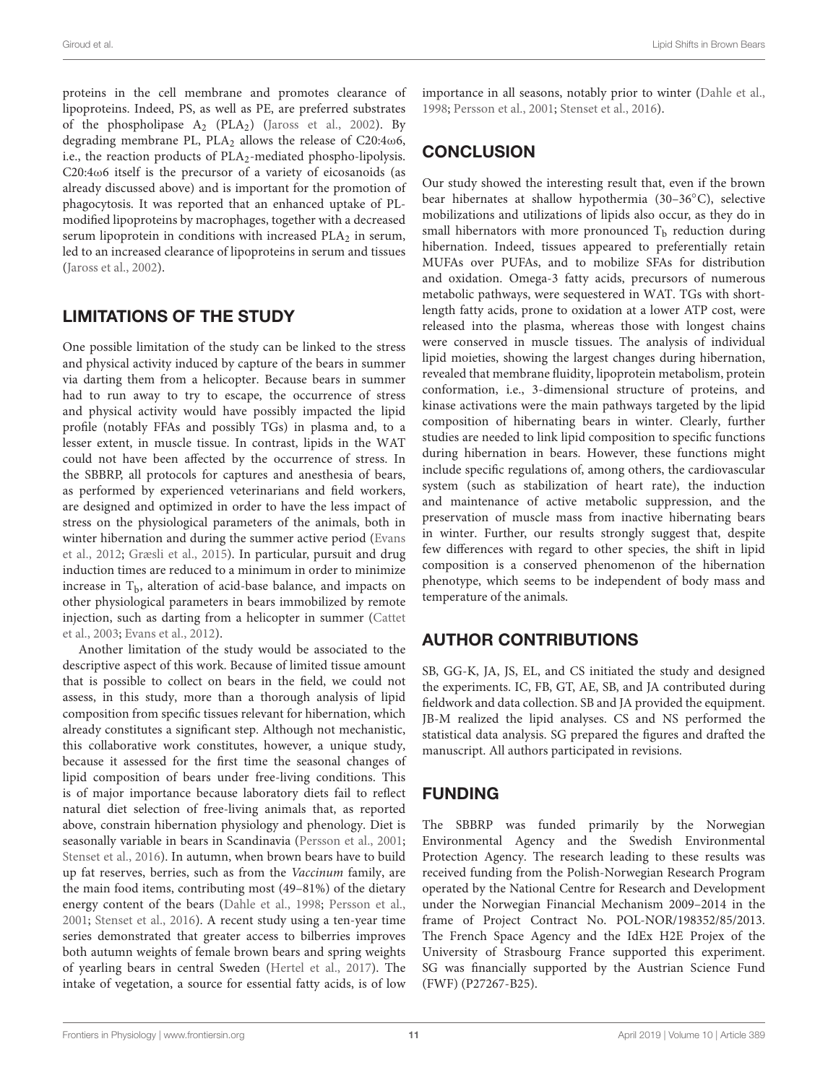proteins in the cell membrane and promotes clearance of lipoproteins. Indeed, PS, as well as PE, are preferred substrates of the phospholipase  $A_2$  (PLA<sub>2</sub>) [\(Jaross et al.,](#page-12-36) [2002\)](#page-12-36). By degrading membrane PL,  $PLA_2$  allows the release of C20:4 $\omega$ 6, i.e., the reaction products of  $PLA_2$ -mediated phospho-lipolysis. C20:4 $\omega$ 6 itself is the precursor of a variety of eicosanoids (as already discussed above) and is important for the promotion of phagocytosis. It was reported that an enhanced uptake of PLmodified lipoproteins by macrophages, together with a decreased serum lipoprotein in conditions with increased  $PLA_2$  in serum, led to an increased clearance of lipoproteins in serum and tissues [\(Jaross et al.,](#page-12-36) [2002\)](#page-12-36).

# LIMITATIONS OF THE STUDY

One possible limitation of the study can be linked to the stress and physical activity induced by capture of the bears in summer via darting them from a helicopter. Because bears in summer had to run away to try to escape, the occurrence of stress and physical activity would have possibly impacted the lipid profile (notably FFAs and possibly TGs) in plasma and, to a lesser extent, in muscle tissue. In contrast, lipids in the WAT could not have been affected by the occurrence of stress. In the SBBRP, all protocols for captures and anesthesia of bears, as performed by experienced veterinarians and field workers, are designed and optimized in order to have the less impact of stress on the physiological parameters of the animals, both in winter hibernation and during the summer active period [\(Evans](#page-11-10) [et al.,](#page-11-10) [2012;](#page-11-10) [Græsli et al.,](#page-12-37) [2015\)](#page-12-37). In particular, pursuit and drug induction times are reduced to a minimum in order to minimize increase in  $T<sub>b</sub>$ , alteration of acid-base balance, and impacts on other physiological parameters in bears immobilized by remote injection, such as darting from a helicopter in summer [\(Cattet](#page-11-22) [et al.,](#page-11-22) [2003;](#page-11-22) [Evans et al.,](#page-11-10) [2012\)](#page-11-10).

Another limitation of the study would be associated to the descriptive aspect of this work. Because of limited tissue amount that is possible to collect on bears in the field, we could not assess, in this study, more than a thorough analysis of lipid composition from specific tissues relevant for hibernation, which already constitutes a significant step. Although not mechanistic, this collaborative work constitutes, however, a unique study, because it assessed for the first time the seasonal changes of lipid composition of bears under free-living conditions. This is of major importance because laboratory diets fail to reflect natural diet selection of free-living animals that, as reported above, constrain hibernation physiology and phenology. Diet is seasonally variable in bears in Scandinavia [\(Persson et al.,](#page-12-17) [2001;](#page-12-17) [Stenset et al.,](#page-13-6) [2016\)](#page-13-6). In autumn, when brown bears have to build up fat reserves, berries, such as from the Vaccinum family, are the main food items, contributing most (49–81%) of the dietary energy content of the bears [\(Dahle et al.,](#page-11-15) [1998;](#page-11-15) [Persson et al.,](#page-12-17) [2001;](#page-12-17) [Stenset et al.,](#page-13-6) [2016\)](#page-13-6). A recent study using a ten-year time series demonstrated that greater access to bilberries improves both autumn weights of female brown bears and spring weights of yearling bears in central Sweden [\(Hertel et al.,](#page-12-38) [2017\)](#page-12-38). The intake of vegetation, a source for essential fatty acids, is of low

# **CONCLUSION**

Our study showed the interesting result that, even if the brown bear hibernates at shallow hypothermia (30–36◦C), selective mobilizations and utilizations of lipids also occur, as they do in small hibernators with more pronounced  $T<sub>b</sub>$  reduction during hibernation. Indeed, tissues appeared to preferentially retain MUFAs over PUFAs, and to mobilize SFAs for distribution and oxidation. Omega-3 fatty acids, precursors of numerous metabolic pathways, were sequestered in WAT. TGs with shortlength fatty acids, prone to oxidation at a lower ATP cost, were released into the plasma, whereas those with longest chains were conserved in muscle tissues. The analysis of individual lipid moieties, showing the largest changes during hibernation, revealed that membrane fluidity, lipoprotein metabolism, protein conformation, i.e., 3-dimensional structure of proteins, and kinase activations were the main pathways targeted by the lipid composition of hibernating bears in winter. Clearly, further studies are needed to link lipid composition to specific functions during hibernation in bears. However, these functions might include specific regulations of, among others, the cardiovascular system (such as stabilization of heart rate), the induction and maintenance of active metabolic suppression, and the preservation of muscle mass from inactive hibernating bears in winter. Further, our results strongly suggest that, despite few differences with regard to other species, the shift in lipid composition is a conserved phenomenon of the hibernation phenotype, which seems to be independent of body mass and temperature of the animals.

# AUTHOR CONTRIBUTIONS

SB, GG-K, JA, JS, EL, and CS initiated the study and designed the experiments. IC, FB, GT, AE, SB, and JA contributed during fieldwork and data collection. SB and JA provided the equipment. JB-M realized the lipid analyses. CS and NS performed the statistical data analysis. SG prepared the figures and drafted the manuscript. All authors participated in revisions.

# FUNDING

The SBBRP was funded primarily by the Norwegian Environmental Agency and the Swedish Environmental Protection Agency. The research leading to these results was received funding from the Polish-Norwegian Research Program operated by the National Centre for Research and Development under the Norwegian Financial Mechanism 2009–2014 in the frame of Project Contract No. POL-NOR/198352/85/2013. The French Space Agency and the IdEx H2E Projex of the University of Strasbourg France supported this experiment. SG was financially supported by the Austrian Science Fund (FWF) (P27267-B25).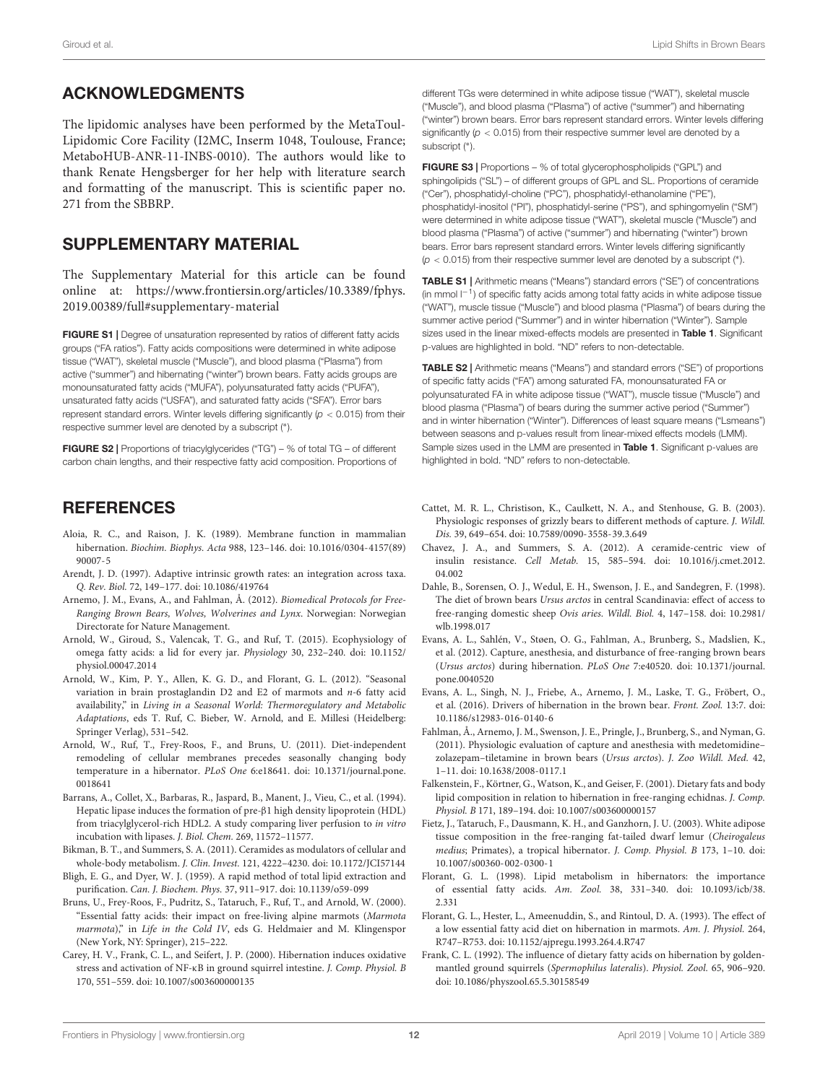#### ACKNOWLEDGMENTS

The lipidomic analyses have been performed by the MetaToul-Lipidomic Core Facility (I2MC, Inserm 1048, Toulouse, France; MetaboHUB-ANR-11-INBS-0010). The authors would like to thank Renate Hengsberger for her help with literature search and formatting of the manuscript. This is scientific paper no. 271 from the SBBRP.

#### <span id="page-11-14"></span>SUPPLEMENTARY MATERIAL

The Supplementary Material for this article can be found online at: [https://www.frontiersin.org/articles/10.3389/fphys.](https://www.frontiersin.org/articles/10.3389/fphys.2019.00389/full#supplementary-material) [2019.00389/full#supplementary-material](https://www.frontiersin.org/articles/10.3389/fphys.2019.00389/full#supplementary-material)

FIGURE S1 | Degree of unsaturation represented by ratios of different fatty acids groups ("FA ratios"). Fatty acids compositions were determined in white adipose tissue ("WAT"), skeletal muscle ("Muscle"), and blood plasma ("Plasma") from active ("summer") and hibernating ("winter") brown bears. Fatty acids groups are monounsaturated fatty acids ("MUFA"), polyunsaturated fatty acids ("PUFA"), unsaturated fatty acids ("USFA"), and saturated fatty acids ("SFA"). Error bars represent standard errors. Winter levels differing significantly ( $p < 0.015$ ) from their respective summer level are denoted by a subscript (<sup>∗</sup> ).

FIGURE S2 | Proportions of triacylglycerides ("TG") – % of total TG – of different carbon chain lengths, and their respective fatty acid composition. Proportions of

### **REFERENCES**

- <span id="page-11-6"></span>Aloia, R. C., and Raison, J. K. (1989). Membrane function in mammalian hibernation. Biochim. Biophys. Acta 988, 123–146. [doi: 10.1016/0304-4157\(89\)](https://doi.org/10.1016/0304-4157(89)90007-5) [90007-5](https://doi.org/10.1016/0304-4157(89)90007-5)
- <span id="page-11-16"></span>Arendt, J. D. (1997). Adaptive intrinsic growth rates: an integration across taxa. Q. Rev. Biol. 72, 149–177. [doi: 10.1086/419764](https://doi.org/10.1086/419764)
- <span id="page-11-9"></span>Arnemo, J. M., Evans, A., and Fahlman, Å. (2012). Biomedical Protocols for Free-Ranging Brown Bears, Wolves, Wolverines and Lynx. Norwegian: Norwegian Directorate for Nature Management.
- <span id="page-11-7"></span>Arnold, W., Giroud, S., Valencak, T. G., and Ruf, T. (2015). Ecophysiology of omega fatty acids: a lid for every jar. Physiology 30, 232–240. [doi: 10.1152/](https://doi.org/10.1152/physiol.00047.2014) [physiol.00047.2014](https://doi.org/10.1152/physiol.00047.2014)
- <span id="page-11-21"></span>Arnold, W., Kim, P. Y., Allen, K. G. D., and Florant, G. L. (2012). "Seasonal variation in brain prostaglandin D2 and E2 of marmots and n-6 fatty acid availability," in Living in a Seasonal World: Thermoregulatory and Metabolic Adaptations, eds T. Ruf, C. Bieber, W. Arnold, and E. Millesi (Heidelberg: Springer Verlag), 531–542.
- <span id="page-11-3"></span>Arnold, W., Ruf, T., Frey-Roos, F., and Bruns, U. (2011). Diet-independent remodeling of cellular membranes precedes seasonally changing body temperature in a hibernator. PLoS One 6:e18641. [doi: 10.1371/journal.pone.](https://doi.org/10.1371/journal.pone.0018641) [0018641](https://doi.org/10.1371/journal.pone.0018641)
- <span id="page-11-13"></span>Barrans, A., Collet, X., Barbaras, R., Jaspard, B., Manent, J., Vieu, C., et al. (1994). Hepatic lipase induces the formation of pre-β1 high density lipoprotein (HDL) from triacylglycerol-rich HDL2. A study comparing liver perfusion to in vitro incubation with lipases. J. Biol. Chem. 269, 11572–11577.
- <span id="page-11-20"></span>Bikman, B. T., and Summers, S. A. (2011). Ceramides as modulators of cellular and whole-body metabolism. J. Clin. Invest. 121, 4222–4230. [doi: 10.1172/JCI57144](https://doi.org/10.1172/JCI57144)
- <span id="page-11-12"></span>Bligh, E. G., and Dyer, W. J. (1959). A rapid method of total lipid extraction and purification. Can. J. Biochem. Phys. 37, 911–917. [doi: 10.1139/o59-099](https://doi.org/10.1139/o59-099)
- <span id="page-11-2"></span>Bruns, U., Frey-Roos, F., Pudritz, S., Tataruch, F., Ruf, T., and Arnold, W. (2000). "Essential fatty acids: their impact on free-living alpine marmots (Marmota marmota)," in Life in the Cold IV, eds G. Heldmaier and M. Klingenspor (New York, NY: Springer), 215–222.
- <span id="page-11-17"></span>Carey, H. V., Frank, C. L., and Seifert, J. P. (2000). Hibernation induces oxidative stress and activation of NF-κB in ground squirrel intestine. J. Comp. Physiol. B 170, 551–559. [doi: 10.1007/s003600000135](https://doi.org/10.1007/s003600000135)

different TGs were determined in white adipose tissue ("WAT"), skeletal muscle ("Muscle"), and blood plasma ("Plasma") of active ("summer") and hibernating ("winter") brown bears. Error bars represent standard errors. Winter levels differing significantly ( $p < 0.015$ ) from their respective summer level are denoted by a subscript (\*).

FIGURE S3 | Proportions – % of total glycerophospholipids ("GPL") and sphingolipids ("SL") – of different groups of GPL and SL. Proportions of ceramide ("Cer"), phosphatidyl-choline ("PC"), phosphatidyl-ethanolamine ("PE"), phosphatidyl-inositol ("PI"), phosphatidyl-serine ("PS"), and sphingomyelin ("SM") were determined in white adipose tissue ("WAT"), skeletal muscle ("Muscle") and blood plasma ("Plasma") of active ("summer") and hibernating ("winter") brown bears. Error bars represent standard errors. Winter levels differing significantly  $(p < 0.015)$  from their respective summer level are denoted by a subscript (\*).

TABLE S1 | Arithmetic means ("Means") standard errors ("SE") of concentrations (in mmol l−<sup>1</sup> ) of specific fatty acids among total fatty acids in white adipose tissue ("WAT"), muscle tissue ("Muscle") and blood plasma ("Plasma") of bears during the summer active period ("Summer") and in winter hibernation ("Winter"). Sample sizes used in the linear mixed-effects models are presented in [Table 1](#page-3-0). Significant p-values are highlighted in bold. "ND" refers to non-detectable.

TABLE S2 | Arithmetic means ("Means") and standard errors ("SE") of proportions of specific fatty acids ("FA") among saturated FA, monounsaturated FA or polyunsaturated FA in white adipose tissue ("WAT"), muscle tissue ("Muscle") and blood plasma ("Plasma") of bears during the summer active period ("Summer") and in winter hibernation ("Winter"). Differences of least square means ("Lsmeans") between seasons and p-values result from linear-mixed effects models (LMM). Sample sizes used in the LMM are presented in [Table 1](#page-3-0). Significant p-values are highlighted in bold. "ND" refers to non-detectable.

- <span id="page-11-22"></span>Cattet, M. R. L., Christison, K., Caulkett, N. A., and Stenhouse, G. B. (2003). Physiologic responses of grizzly bears to different methods of capture. J. Wildl. Dis. 39, 649–654. [doi: 10.7589/0090-3558-39.3.649](https://doi.org/10.7589/0090-3558-39.3.649)
- <span id="page-11-19"></span>Chavez, J. A., and Summers, S. A. (2012). A ceramide-centric view of insulin resistance. Cell Metab. 15, 585–594. [doi: 10.1016/j.cmet.2012.](https://doi.org/10.1016/j.cmet.2012.04.002) [04.002](https://doi.org/10.1016/j.cmet.2012.04.002)
- <span id="page-11-15"></span>Dahle, B., Sorensen, O. J., Wedul, E. H., Swenson, J. E., and Sandegren, F. (1998). The diet of brown bears Ursus arctos in central Scandinavia: effect of access to free-ranging domestic sheep Ovis aries. Wildl. Biol. 4, 147–158. [doi: 10.2981/](https://doi.org/10.2981/wlb.1998.017) [wlb.1998.017](https://doi.org/10.2981/wlb.1998.017)
- <span id="page-11-10"></span>Evans, A. L., Sahlén, V., Støen, O. G., Fahlman, A., Brunberg, S., Madslien, K., et al. (2012). Capture, anesthesia, and disturbance of free-ranging brown bears (Ursus arctos) during hibernation. PLoS One 7:e40520. [doi: 10.1371/journal.](https://doi.org/10.1371/journal.pone.0040520) [pone.0040520](https://doi.org/10.1371/journal.pone.0040520)
- <span id="page-11-8"></span>Evans, A. L., Singh, N. J., Friebe, A., Arnemo, J. M., Laske, T. G., Fröbert, O., et al. (2016). Drivers of hibernation in the brown bear. Front. Zool. 13:7. [doi:](https://doi.org/10.1186/s12983-016-0140-6) [10.1186/s12983-016-0140-6](https://doi.org/10.1186/s12983-016-0140-6)
- <span id="page-11-11"></span>Fahlman, Å., Arnemo, J. M., Swenson, J. E., Pringle, J., Brunberg, S., and Nyman, G. (2011). Physiologic evaluation of capture and anesthesia with medetomidine– zolazepam–tiletamine in brown bears (Ursus arctos). J. Zoo Wildl. Med. 42, 1–11. [doi: 10.1638/2008-0117.1](https://doi.org/10.1638/2008-0117.1)
- <span id="page-11-4"></span>Falkenstein, F., Körtner, G., Watson, K., and Geiser, F. (2001). Dietary fats and body lipid composition in relation to hibernation in free-ranging echidnas. J. Comp. Physiol. B 171, 189–194. [doi: 10.1007/s003600000157](https://doi.org/10.1007/s003600000157)
- <span id="page-11-5"></span>Fietz, J., Tataruch, F., Dausmann, K. H., and Ganzhorn, J. U. (2003). White adipose tissue composition in the free-ranging fat-tailed dwarf lemur (Cheirogaleus medius; Primates), a tropical hibernator. J. Comp. Physiol. B 173, 1–10. [doi:](https://doi.org/10.1007/s00360-002-0300-1) [10.1007/s00360-002-0300-1](https://doi.org/10.1007/s00360-002-0300-1)
- <span id="page-11-18"></span>Florant, G. L. (1998). Lipid metabolism in hibernators: the importance of essential fatty acids. Am. Zool. 38, 331–340. [doi: 10.1093/icb/38.](https://doi.org/10.1093/icb/38.2.331) [2.331](https://doi.org/10.1093/icb/38.2.331)
- <span id="page-11-1"></span>Florant, G. L., Hester, L., Ameenuddin, S., and Rintoul, D. A. (1993). The effect of a low essential fatty acid diet on hibernation in marmots. Am. J. Physiol. 264, R747–R753. [doi: 10.1152/ajpregu.1993.264.4.R747](https://doi.org/10.1152/ajpregu.1993.264.4.R747)
- <span id="page-11-0"></span>Frank, C. L. (1992). The influence of dietary fatty acids on hibernation by goldenmantled ground squirrels (Spermophilus lateralis). Physiol. Zool. 65, 906–920. [doi: 10.1086/physzool.65.5.30158549](https://doi.org/10.1086/physzool.65.5.30158549)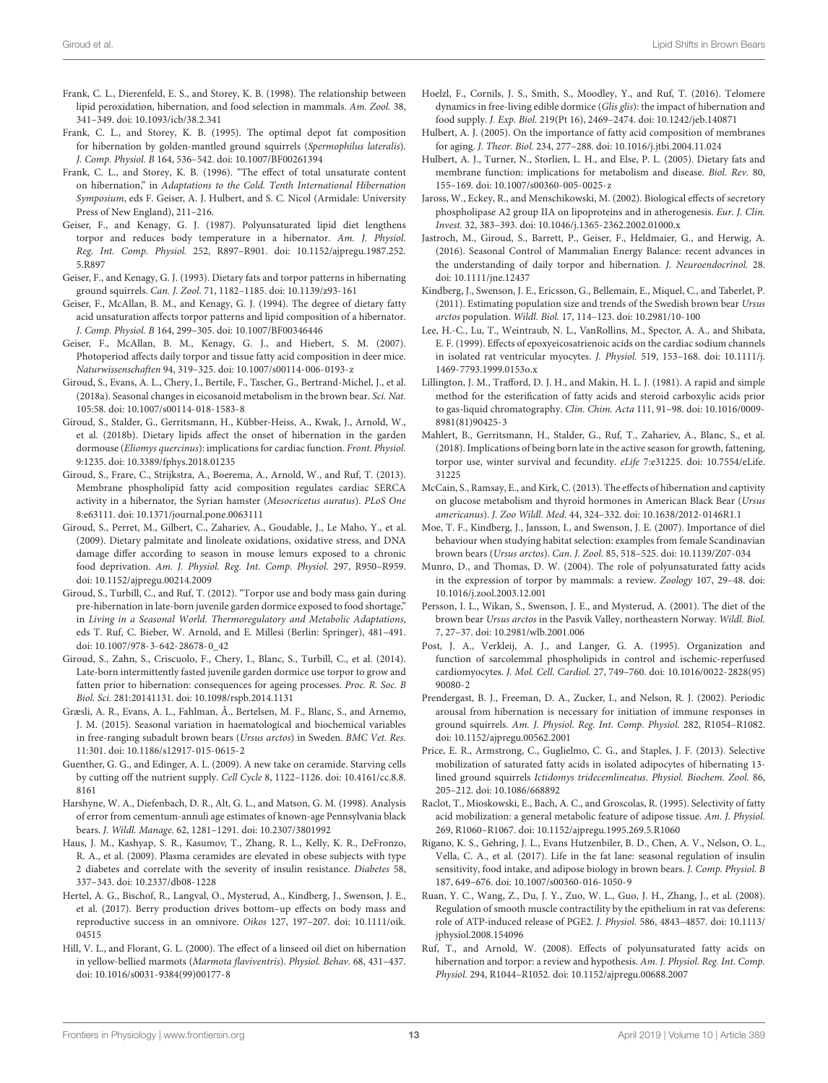- <span id="page-12-24"></span>Frank, C. L., Dierenfeld, E. S., and Storey, K. B. (1998). The relationship between lipid peroxidation, hibernation, and food selection in mammals. Am. Zool. 38, 341–349. [doi: 10.1093/icb/38.2.341](https://doi.org/10.1093/icb/38.2.341)
- <span id="page-12-23"></span>Frank, C. L., and Storey, K. B. (1995). The optimal depot fat composition for hibernation by golden-mantled ground squirrels (Spermophilus lateralis). J. Comp. Physiol. B 164, 536–542. [doi: 10.1007/BF00261394](https://doi.org/10.1007/BF00261394)
- <span id="page-12-3"></span>Frank, C. L., and Storey, K. B. (1996). "The effect of total unsaturate content on hibernation," in Adaptations to the Cold. Tenth International Hibernation Symposium, eds F. Geiser, A. J. Hulbert, and S. C. Nicol (Armidale: University Press of New England), 211–216.
- <span id="page-12-0"></span>Geiser, F., and Kenagy, G. J. (1987). Polyunsaturated lipid diet lengthens torpor and reduces body temperature in a hibernator. Am. J. Physiol. Reg. Int. Comp. Physiol. 252, R897–R901. [doi: 10.1152/ajpregu.1987.252.](https://doi.org/10.1152/ajpregu.1987.252.5.R897) [5.R897](https://doi.org/10.1152/ajpregu.1987.252.5.R897)
- <span id="page-12-1"></span>Geiser, F., and Kenagy, G. J. (1993). Dietary fats and torpor patterns in hibernating ground squirrels. Can. J. Zool. 71, 1182–1185. [doi: 10.1139/z93-161](https://doi.org/10.1139/z93-161)
- <span id="page-12-2"></span>Geiser, F., McAllan, B. M., and Kenagy, G. J. (1994). The degree of dietary fatty acid unsaturation affects torpor patterns and lipid composition of a hibernator. J. Comp. Physiol. B 164, 299–305. [doi: 10.1007/BF00346446](https://doi.org/10.1007/BF00346446)
- <span id="page-12-8"></span>Geiser, F., McAllan, B. M., Kenagy, G. J., and Hiebert, S. M. (2007). Photoperiod affects daily torpor and tissue fatty acid composition in deer mice. Naturwissenschaften 94, 319–325. [doi: 10.1007/s00114-006-0193-z](https://doi.org/10.1007/s00114-006-0193-z)
- <span id="page-12-32"></span>Giroud, S., Evans, A. L., Chery, I., Bertile, F., Tascher, G., Bertrand-Michel, J., et al. (2018a). Seasonal changes in eicosanoid metabolism in the brown bear. Sci. Nat. 105:58. [doi: 10.1007/s00114-018-1583-8](https://doi.org/10.1007/s00114-018-1583-8)
- <span id="page-12-6"></span>Giroud, S., Stalder, G., Gerritsmann, H., Kübber-Heiss, A., Kwak, J., Arnold, W., et al. (2018b). Dietary lipids affect the onset of hibernation in the garden dormouse (Eliomys quercinus): implications for cardiac function. Front. Physiol. 9:1235. [doi: 10.3389/fphys.2018.01235](https://doi.org/10.3389/fphys.2018.01235)
- <span id="page-12-12"></span>Giroud, S., Frare, C., Strijkstra, A., Boerema, A., Arnold, W., and Ruf, T. (2013). Membrane phospholipid fatty acid composition regulates cardiac SERCA activity in a hibernator, the Syrian hamster (Mesocricetus auratus). PLoS One 8:e63111. [doi: 10.1371/journal.pone.0063111](https://doi.org/10.1371/journal.pone.0063111)
- <span id="page-12-9"></span>Giroud, S., Perret, M., Gilbert, C., Zahariev, A., Goudable, J., Le Maho, Y., et al. (2009). Dietary palmitate and linoleate oxidations, oxidative stress, and DNA damage differ according to season in mouse lemurs exposed to a chronic food deprivation. Am. J. Physiol. Reg. Int. Comp. Physiol. 297, R950–R959. [doi: 10.1152/ajpregu.00214.2009](https://doi.org/10.1152/ajpregu.00214.2009)
- <span id="page-12-18"></span>Giroud, S., Turbill, C., and Ruf, T. (2012). "Torpor use and body mass gain during pre-hibernation in late-born juvenile garden dormice exposed to food shortage," in Living in a Seasonal World. Thermoregulatory and Metabolic Adaptations, eds T. Ruf, C. Bieber, W. Arnold, and E. Millesi (Berlin: Springer), 481–491. [doi: 10.1007/978-3-642-28678-0\\_42](https://doi.org/10.1007/978-3-642-28678-0_42)
- <span id="page-12-19"></span>Giroud, S., Zahn, S., Criscuolo, F., Chery, I., Blanc, S., Turbill, C., et al. (2014). Late-born intermittently fasted juvenile garden dormice use torpor to grow and fatten prior to hibernation: consequences for ageing processes. Proc. R. Soc. B Biol. Sci. 281:20141131. [doi: 10.1098/rspb.2014.1131](https://doi.org/10.1098/rspb.2014.1131)
- <span id="page-12-37"></span>Græsli, A. R., Evans, A. L., Fahlman, Å., Bertelsen, M. F., Blanc, S., and Arnemo, J. M. (2015). Seasonal variation in haematological and biochemical variables in free-ranging subadult brown bears (Ursus arctos) in Sweden. BMC Vet. Res. 11:301. [doi: 10.1186/s12917-015-0615-2](https://doi.org/10.1186/s12917-015-0615-2)
- <span id="page-12-28"></span>Guenther, G. G., and Edinger, A. L. (2009). A new take on ceramide. Starving cells by cutting off the nutrient supply. Cell Cycle 8, 1122–1126. [doi: 10.4161/cc.8.8.](https://doi.org/10.4161/cc.8.8.8161) [8161](https://doi.org/10.4161/cc.8.8.8161)
- <span id="page-12-15"></span>Harshyne, W. A., Diefenbach, D. R., Alt, G. L., and Matson, G. M. (1998). Analysis of error from cementum-annuli age estimates of known-age Pennsylvania black bears. J. Wildl. Manage. 62, 1281–1291. [doi: 10.2307/3801992](https://doi.org/10.2307/3801992)
- <span id="page-12-25"></span>Haus, J. M., Kashyap, S. R., Kasumov, T., Zhang, R. L., Kelly, K. R., DeFronzo, R. A., et al. (2009). Plasma ceramides are elevated in obese subjects with type 2 diabetes and correlate with the severity of insulin resistance. Diabetes 58, 337–343. [doi: 10.2337/db08-1228](https://doi.org/10.2337/db08-1228)
- <span id="page-12-38"></span>Hertel, A. G., Bischof, R., Langval, O., Mysterud, A., Kindberg, J., Swenson, J. E., et al. (2017). Berry production drives bottom–up effects on body mass and reproductive success in an omnivore. Oikos 127, 197–207. [doi: 10.1111/oik.](https://doi.org/10.1111/oik.04515) [04515](https://doi.org/10.1111/oik.04515)
- <span id="page-12-5"></span>Hill, V. L., and Florant, G. L. (2000). The effect of a linseed oil diet on hibernation in yellow-bellied marmots (Marmota flaviventris). Physiol. Behav. 68, 431–437. [doi: 10.1016/s0031-9384\(99\)00177-8](https://doi.org/10.1016/s0031-9384(99)00177-8)
- <span id="page-12-21"></span>Hoelzl, F., Cornils, J. S., Smith, S., Moodley, Y., and Ruf, T. (2016). Telomere dynamics in free-living edible dormice (Glis glis): the impact of hibernation and food supply. J. Exp. Biol. 219(Pt 16), 2469–2474. [doi: 10.1242/jeb.140871](https://doi.org/10.1242/jeb.140871)
- <span id="page-12-22"></span>Hulbert, A. J. (2005). On the importance of fatty acid composition of membranes for aging. J. Theor. Biol. 234, 277–288. [doi: 10.1016/j.jtbi.2004.11.024](https://doi.org/10.1016/j.jtbi.2004.11.024)
- <span id="page-12-34"></span>Hulbert, A. J., Turner, N., Storlien, L. H., and Else, P. L. (2005). Dietary fats and membrane function: implications for metabolism and disease. Biol. Rev. 80, 155–169. [doi: 10.1007/s00360-005-0025-z](https://doi.org/10.1007/s00360-005-0025-z)
- <span id="page-12-36"></span>Jaross, W., Eckey, R., and Menschikowski, M. (2002). Biological effects of secretory phospholipase A2 group IIA on lipoproteins and in atherogenesis. Eur. J. Clin. Invest. 32, 383–393. [doi: 10.1046/j.1365-2362.2002.01000.x](https://doi.org/10.1046/j.1365-2362.2002.01000.x)
- <span id="page-12-29"></span>Jastroch, M., Giroud, S., Barrett, P., Geiser, F., Heldmaier, G., and Herwig, A. (2016). Seasonal Control of Mammalian Energy Balance: recent advances in the understanding of daily torpor and hibernation. J. Neuroendocrinol. 28. [doi: 10.1111/jne.12437](https://doi.org/10.1111/jne.12437)
- <span id="page-12-14"></span>Kindberg, J., Swenson, J. E., Ericsson, G., Bellemain, E., Miquel, C., and Taberlet, P. (2011). Estimating population size and trends of the Swedish brown bear Ursus arctos population. Wildl. Biol. 17, 114–123. [doi: 10.2981/10-100](https://doi.org/10.2981/10-100)
- <span id="page-12-33"></span>Lee, H.-C., Lu, T., Weintraub, N. L., VanRollins, M., Spector, A. A., and Shibata, E. F. (1999). Effects of epoxyeicosatrienoic acids on the cardiac sodium channels in isolated rat ventricular myocytes. J. Physiol. 519, 153–168. [doi: 10.1111/j.](https://doi.org/10.1111/j.1469-7793.1999.0153o.x) [1469-7793.1999.0153o.x](https://doi.org/10.1111/j.1469-7793.1999.0153o.x)
- <span id="page-12-16"></span>Lillington, J. M., Trafford, D. J. H., and Makin, H. L. J. (1981). A rapid and simple method for the esterification of fatty acids and steroid carboxylic acids prior to gas-liquid chromatography. Clin. Chim. Acta 111, 91–98. [doi: 10.1016/0009-](https://doi.org/10.1016/0009-8981(81)90425-3) [8981\(81\)90425-3](https://doi.org/10.1016/0009-8981(81)90425-3)
- <span id="page-12-20"></span>Mahlert, B., Gerritsmann, H., Stalder, G., Ruf, T., Zahariev, A., Blanc, S., et al. (2018). Implications of being born late in the active season for growth, fattening, torpor use, winter survival and fecundity. eLife 7:e31225. [doi: 10.7554/eLife.](https://doi.org/10.7554/eLife.31225) [31225](https://doi.org/10.7554/eLife.31225)
- <span id="page-12-27"></span>McCain, S., Ramsay, E., and Kirk, C. (2013). The effects of hibernation and captivity on glucose metabolism and thyroid hormones in American Black Bear (Ursus americanus). J. Zoo Wildl. Med. 44, 324–332. [doi: 10.1638/2012-0146R1.1](https://doi.org/10.1638/2012-0146R1.1)
- <span id="page-12-13"></span>Moe, T. F., Kindberg, J., Jansson, I., and Swenson, J. E. (2007). Importance of diel behaviour when studying habitat selection: examples from female Scandinavian brown bears (Ursus arctos). Can. J. Zool. 85, 518–525. [doi: 10.1139/Z07-034](https://doi.org/10.1139/Z07-034)
- <span id="page-12-4"></span>Munro, D., and Thomas, D. W. (2004). The role of polyunsaturated fatty acids in the expression of torpor by mammals: a review. Zoology 107, 29–48. [doi:](https://doi.org/10.1016/j.zool.2003.12.001) [10.1016/j.zool.2003.12.001](https://doi.org/10.1016/j.zool.2003.12.001)
- <span id="page-12-17"></span>Persson, I. L., Wikan, S., Swenson, J. E., and Mysterud, A. (2001). The diet of the brown bear Ursus arctos in the Pasvik Valley, northeastern Norway. Wildl. Biol. 7, 27–37. [doi: 10.2981/wlb.2001.006](https://doi.org/10.2981/wlb.2001.006)
- <span id="page-12-35"></span>Post, J. A., Verkleij, A. J., and Langer, G. A. (1995). Organization and function of sarcolemmal phospholipids in control and ischemic-reperfused cardiomyocytes. J. Mol. Cell. Cardiol. 27, 749–760. [doi: 10.1016/0022-2828\(95\)](https://doi.org/10.1016/0022-2828(95)90080-2) [90080-2](https://doi.org/10.1016/0022-2828(95)90080-2)
- <span id="page-12-30"></span>Prendergast, B. J., Freeman, D. A., Zucker, I., and Nelson, R. J. (2002). Periodic arousal from hibernation is necessary for initiation of immune responses in ground squirrels. Am. J. Physiol. Reg. Int. Comp. Physiol. 282, R1054–R1082. [doi: 10.1152/ajpregu.00562.2001](https://doi.org/10.1152/ajpregu.00562.2001)
- <span id="page-12-11"></span>Price, E. R., Armstrong, C., Guglielmo, C. G., and Staples, J. F. (2013). Selective mobilization of saturated fatty acids in isolated adipocytes of hibernating 13 lined ground squirrels Ictidomys tridecemlineatus. Physiol. Biochem. Zool. 86, 205–212. [doi: 10.1086/668892](https://doi.org/10.1086/668892)
- <span id="page-12-10"></span>Raclot, T., Mioskowski, E., Bach, A. C., and Groscolas, R. (1995). Selectivity of fatty acid mobilization: a general metabolic feature of adipose tissue. Am. J. Physiol. 269, R1060–R1067. [doi: 10.1152/ajpregu.1995.269.5.R1060](https://doi.org/10.1152/ajpregu.1995.269.5.R1060)
- <span id="page-12-26"></span>Rigano, K. S., Gehring, J. L., Evans Hutzenbiler, B. D., Chen, A. V., Nelson, O. L., Vella, C. A., et al. (2017). Life in the fat lane: seasonal regulation of insulin sensitivity, food intake, and adipose biology in brown bears. J. Comp. Physiol. B 187, 649–676. [doi: 10.1007/s00360-016-1050-9](https://doi.org/10.1007/s00360-016-1050-9)
- <span id="page-12-31"></span>Ruan, Y. C., Wang, Z., Du, J. Y., Zuo, W. L., Guo, J. H., Zhang, J., et al. (2008). Regulation of smooth muscle contractility by the epithelium in rat vas deferens: role of ATP-induced release of PGE2. J. Physiol. 586, 4843–4857. [doi: 10.1113/](https://doi.org/10.1113/jphysiol.2008.154096) [jphysiol.2008.154096](https://doi.org/10.1113/jphysiol.2008.154096)
- <span id="page-12-7"></span>Ruf, T., and Arnold, W. (2008). Effects of polyunsaturated fatty acids on hibernation and torpor: a review and hypothesis. Am. J. Physiol. Reg. Int. Comp. Physiol. 294, R1044–R1052. [doi: 10.1152/ajpregu.00688.2007](https://doi.org/10.1152/ajpregu.00688.2007)